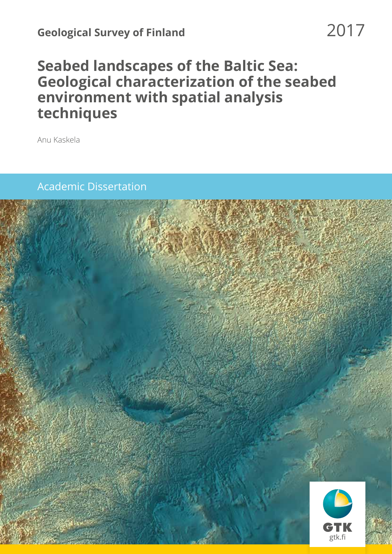# **Seabed landscapes of the Baltic Sea: Geological characterization of the seabed environment with spatial analysis techniques**

Anu Kaskela

# Academic Dissertation

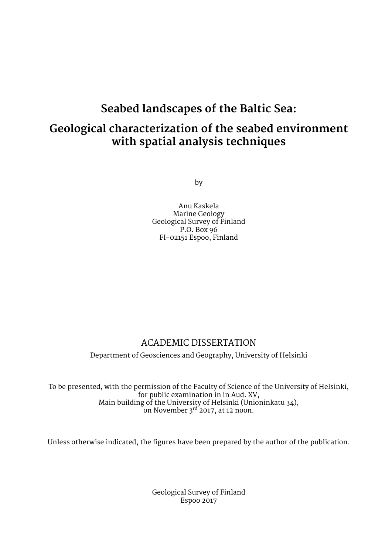# **Seabed landscapes of the Baltic Sea:**

# **Geological characterization of the seabed environment with spatial analysis techniques**

by

Anu Kaskela Marine Geology Geological Survey of Finland P.O. Box 96 FI-02151 Espoo, Finland

# ACADEMIC DISSERTATION

Department of Geosciences and Geography, University of Helsinki

To be presented, with the permission of the Faculty of Science of the University of Helsinki, for public examination in in Aud. XV, Main building of the University of Helsinki (Unioninkatu 34), on November 3<sup>rd</sup> 2017, at 12 noon.

Unless otherwise indicated, the figures have been prepared by the author of the publication.

Geological Survey of Finland Espoo 2017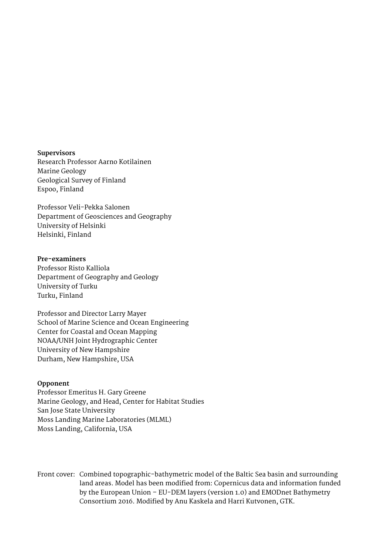**Supervisors** Research Professor Aarno Kotilainen Marine Geology Geological Survey of Finland Espoo, Finland

Professor Veli-Pekka Salonen Department of Geosciences and Geography University of Helsinki Helsinki, Finland

**Pre-examiners** Professor Risto Kalliola Department of Geography and Geology University of Turku Turku, Finland

Professor and Director Larry Mayer School of Marine Science and Ocean Engineering Center for Coastal and Ocean Mapping NOAA/UNH Joint Hydrographic Center University of New Hampshire Durham, New Hampshire, USA

## **Opponent**

Professor Emeritus H. Gary Greene Marine Geology, and Head, Center for Habitat Studies San Jose State University Moss Landing Marine Laboratories (MLML) Moss Landing, California, USA

Front cover: Combined topographic-bathymetric model of the Baltic Sea basin and surrounding land areas. Model has been modified from: Copernicus data and information funded by the European Union – EU-DEM layers (version 1.0) and EMODnet Bathymetry Consortium 2016. Modified by Anu Kaskela and Harri Kutvonen, GTK.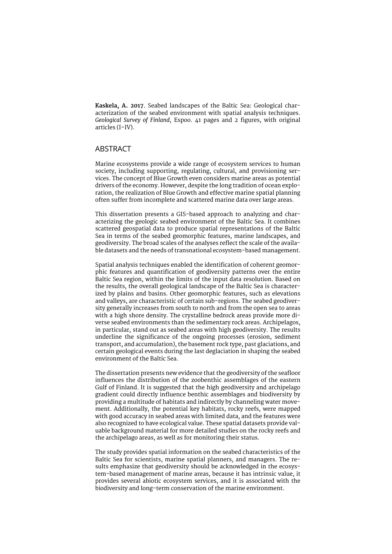**Kaskela, A. 2017**. Seabed landscapes of the Baltic Sea: Geological characterization of the seabed environment with spatial analysis techniques. *Geological Survey of Finland*, Espoo. 41 pages and 2 figures, with original articles (I–IV).

#### ABSTRACT

Marine ecosystems provide a wide range of ecosystem services to human society, including supporting, regulating, cultural, and provisioning services. The concept of Blue Growth even considers marine areas as potential drivers of the economy. However, despite the long tradition of ocean exploration, the realization of Blue Growth and effective marine spatial planning often suffer from incomplete and scattered marine data over large areas.

This dissertation presents a GIS-based approach to analyzing and characterizing the geologic seabed environment of the Baltic Sea. It combines scattered geospatial data to produce spatial representations of the Baltic Sea in terms of the seabed geomorphic features, marine landscapes, and geodiversity. The broad scales of the analyses reflect the scale of the available datasets and the needs of transnational ecosystem-based management.

Spatial analysis techniques enabled the identification of coherent geomorphic features and quantification of geodiversity patterns over the entire Baltic Sea region, within the limits of the input data resolution. Based on the results, the overall geological landscape of the Baltic Sea is characterized by plains and basins. Other geomorphic features, such as elevations and valleys, are characteristic of certain sub-regions. The seabed geodiversity generally increases from south to north and from the open sea to areas with a high shore density. The crystalline bedrock areas provide more diverse seabed environments than the sedimentary rock areas. Archipelagos, in particular, stand out as seabed areas with high geodiversity. The results underline the significance of the ongoing processes (erosion, sediment transport, and accumulation), the basement rock type, past glaciations, and certain geological events during the last deglaciation in shaping the seabed environment of the Baltic Sea.

The dissertation presents new evidence that the geodiversity of the seafloor influences the distribution of the zoobenthic assemblages of the eastern Gulf of Finland. It is suggested that the high geodiversity and archipelago gradient could directly influence benthic assemblages and biodiversity by providing a multitude of habitats and indirectly by channeling water movement. Additionally, the potential key habitats, rocky reefs, were mapped with good accuracy in seabed areas with limited data, and the features were also recognized to have ecological value. These spatial datasets provide valuable background material for more detailed studies on the rocky reefs and the archipelago areas, as well as for monitoring their status.

The study provides spatial information on the seabed characteristics of the Baltic Sea for scientists, marine spatial planners, and managers. The results emphasize that geodiversity should be acknowledged in the ecosystem-based management of marine areas, because it has intrinsic value, it provides several abiotic ecosystem services, and it is associated with the biodiversity and long-term conservation of the marine environment.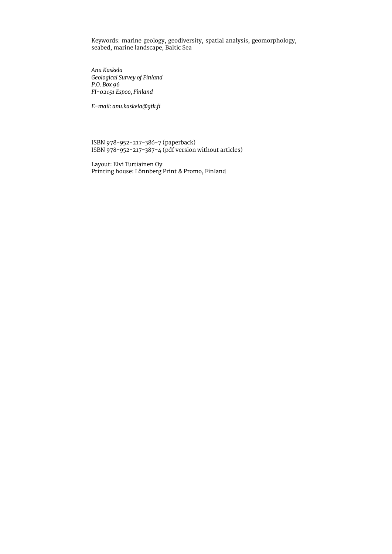Keywords: marine geology, geodiversity, spatial analysis, geomorphology, seabed, marine landscape, Baltic Sea

*Anu Kaskela Geological Survey of Finland P.O. Box 96 FI-02151 Espoo, Finland* 

*E-mail: [anu.kaskela@gtk.fi](mailto:anu.kaskela@gtk.fi)*

ISBN 978-952-217-386-7 (paperback) ISBN 978-952-217-387-4 (pdf version without articles)

Layout: Elvi Turtiainen Oy Printing house: Lönnberg Print & Promo, Finland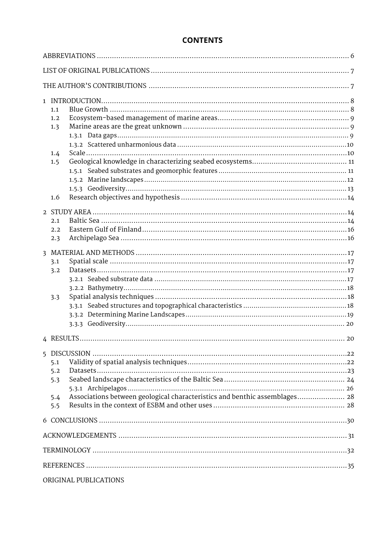# **CONTENTS**

| 1.1<br>1.2<br>1.3<br>1.4<br>1.5<br>1.6                                                                        |  |
|---------------------------------------------------------------------------------------------------------------|--|
| 2.1<br>2.2<br>2.3                                                                                             |  |
| 3.1<br>3.2<br>3.3                                                                                             |  |
|                                                                                                               |  |
| 5.1<br>5.2<br>5.3<br>Associations between geological characteristics and benthic assemblages 28<br>5.4<br>5.5 |  |
|                                                                                                               |  |
|                                                                                                               |  |
|                                                                                                               |  |
|                                                                                                               |  |
| ORIGINAL PUBLICATIONS                                                                                         |  |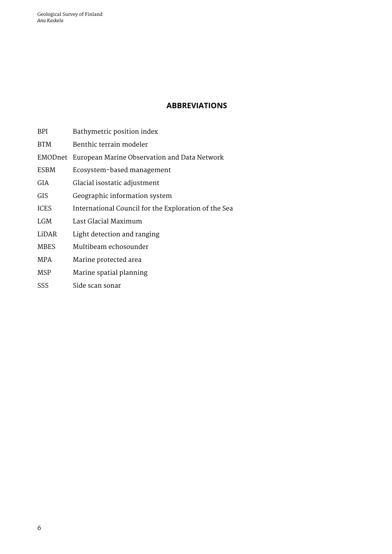<span id="page-6-0"></span>Geological Survey of Finland *Anu Kaskela*

# **ABBREVIATIONS**

- BPI Bathymetric position index
- BTM Benthic terrain modeler
- EMODnet European Marine Observation and Data Network
- ESBM Ecosystem-based management
- GIA Glacial isostatic adjustment
- GIS Geographic information system
- ICES International Council for the Exploration of the Sea
- LGM Last Glacial Maximum
- LiDAR Light detection and ranging
- MBES Multibeam echosounder
- MPA Marine protected area
- MSP Marine spatial planning
- SSS Side scan sonar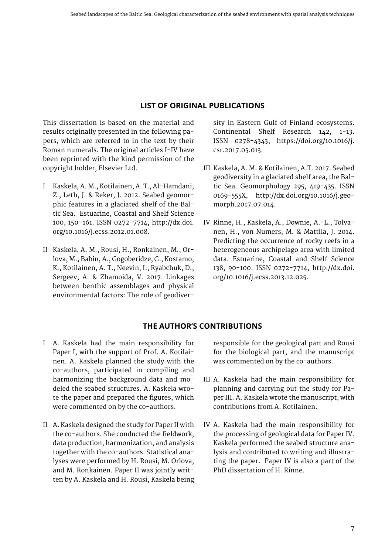# **LIST OF ORIGINAL PUBLICATIONS**

<span id="page-7-0"></span>This dissertation is based on the material and results originally presented in the following papers, which are referred to in the text by their Roman numerals. The original articles I-IV have been reprinted with the kind permission of the copyright holder, Elsevier Ltd.

- I Kaskela, A. M., Kotilainen, A. T., Al-Hamdani, Z., Leth, J. & Reker, J. 2012. Seabed geomorphic features in a glaciated shelf of the Baltic Sea. Estuarine, Coastal and Shelf Science 100, 150–161. ISSN 0272-7714, http://dx.doi. org/10.1016/j.ecss.2012.01.008.
- II Kaskela, A. M., Rousi, H., Ronkainen, M., Orlova, M., Babin, A., Gogoberidze, G., Kostamo, K., Kotilainen, A. T., Neevin, I., Ryabchuk, D., Sergeev, A. & Zhamoida, V. 2017. Linkages between benthic assemblages and physical environmental factors: The role of geodiver-

sity in Eastern Gulf of Finland ecosystems. Continental Shelf Research 142, 1-13. ISSN 0278-4343, https://doi.org/10.1016/j. csr.2017.05.013.

- III Kaskela, A. M. & Kotilainen, A.T. 2017. Seabed geodiversity in a glaciated shelf area, the Baltic Sea. Geomorphology 295, 419-435. ISSN 0169-555X, http://dx.doi.org/10.1016/j.geomorph.2017.07.014.
- IV Rinne, H., Kaskela, A., Downie, A.-L., Tolvanen, H., von Numers, M. & Mattila, J. 2014. Predicting the occurrence of rocky reefs in a heterogeneous archipelago area with limited data. Estuarine, Coastal and Shelf Science 138, 90-100. ISSN 0272-7714, http://dx.doi. org/10.1016/j.ecss.2013.12.025.

# **THE AUTHOR'S CONTRIBUTIONS**

- I A. Kaskela had the main responsibility for Paper I, with the support of Prof. A. Kotilainen. A. Kaskela planned the study with the co-authors, participated in compiling and harmonizing the background data and modeled the seabed structures. A. Kaskela wrote the paper and prepared the figures, which were commented on by the co-authors.
- II A. Kaskela designed the study for Paper II with the co-authors. She conducted the fieldwork, data production, harmonization, and analysis together with the co-authors. Statistical analyses were performed by H. Rousi, M. Orlova, and M. Ronkainen. Paper II was jointly written by A. Kaskela and H. Rousi, Kaskela being

responsible for the geological part and Rousi for the biological part, and the manuscript was commented on by the co-authors.

- III A. Kaskela had the main responsibility for planning and carrying out the study for Paper III. A. Kaskela wrote the manuscript, with contributions from A. Kotilainen.
- IV A. Kaskela had the main responsibility for the processing of geological data for Paper IV. Kaskela performed the seabed structure analysis and contributed to writing and illustrating the paper. Paper IV is also a part of the PhD dissertation of H. Rinne.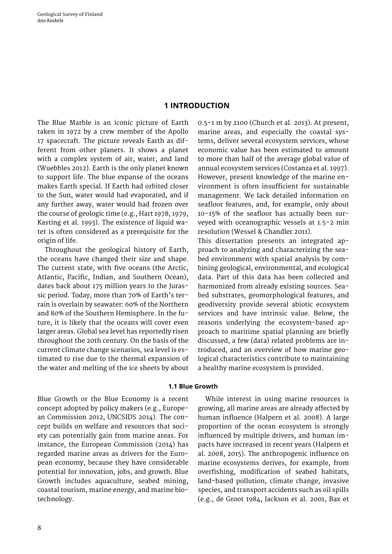# **1 INTRODUCTION**

<span id="page-8-0"></span>The Blue Marble is an iconic picture of Earth taken in 1972 by a crew member of the Apollo 17 spacecraft. The picture reveals Earth as different from other planets. It shows a planet with a complex system of air, water, and land (Wuebbles 2012). Earth is the only planet known to support life. The blue expanse of the oceans makes Earth special. If Earth had orbited closer to the Sun, water would had evaporated, and if any further away, water would had frozen over the course of geologic time (e.g., Hart 1978, 1979, Kasting et al. 1993). The existence of liquid water is often considered as a prerequisite for the origin of life.

Throughout the geological history of Earth, the oceans have changed their size and shape. The current state, with five oceans (the Arctic, Atlantic, Pacific, Indian, and Southern Ocean), dates back about 175 million years to the Jurassic period. Today, more than 70% of Earth's terrain is overlain by seawater: 60% of the Northern and 80% of the Southern Hemisphere. In the future, it is likely that the oceans will cover even larger areas. Global sea level has reportedly risen throughout the 20th century. On the basis of the current climate change scenarios, sea level is estimated to rise due to the thermal expansion of the water and melting of the ice sheets by about

0.5–1 m by 2100 (Church et al. 2013). At present, marine areas, and especially the coastal systems, deliver several ecosystem services, whose economic value has been estimated to amount to more than half of the average global value of annual ecosystem services (Costanza et al. 1997). However, present knowledge of the marine environment is often insufficient for sustainable management. We lack detailed information on seafloor features, and, for example, only about 10–15% of the seafloor has actually been surveyed with oceanographic vessels at 1.5–2 min resolution (Wessel & Chandler 2011).

This dissertation presents an integrated approach to analyzing and characterizing the seabed environment with spatial analysis by combining geological, environmental, and ecological data. Part of this data has been collected and harmonized from already existing sources. Seabed substrates, geomorphological features, and geodiversity provide several abiotic ecosystem services and have intrinsic value. Below, the reasons underlying the ecosystem-based approach to maritime spatial planning are briefly discussed, a few (data) related problems are introduced, and an overview of how marine geological characteristics contribute to maintaining a healthy marine ecosystem is provided.

#### **1.1 Blue Growth**

Blue Growth or the Blue Economy is a recent concept adopted by policy makers (e.g., European Commission 2012, UNCSIDS 2014). The concept builds on welfare and resources that society can potentially gain from marine areas. For instance, the European Commission (2014) has regarded marine areas as drivers for the European economy, because they have considerable potential for innovation, jobs, and growth. Blue Growth includes aquaculture, seabed mining, coastal tourism, marine energy, and marine biotechnology.

While interest in using marine resources is growing, all marine areas are already affected by human influence (Halpern et al. 2008). A large proportion of the ocean ecosystem is strongly influenced by multiple drivers, and human impacts have increased in recent years (Halpern et al. 2008, 2015). The anthropogenic influence on marine ecosystems derives, for example, from overfishing, modification of seabed habitats, land-based pollution, climate change, invasive species, and transport accidents such as oil spills (e.g., de Groot 1984, Jackson et al. 2001, Bax et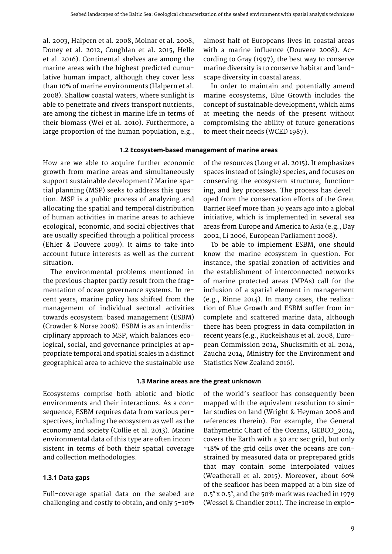<span id="page-9-0"></span>al. 2003, Halpern et al. 2008, Molnar et al. 2008, Doney et al. 2012, Coughlan et al. 2015, Helle et al. 2016). Continental shelves are among the marine areas with the highest predicted cumulative human impact, although they cover less than 10% of marine environments (Halpern et al. 2008). Shallow coastal waters, where sunlight is able to penetrate and rivers transport nutrients, are among the richest in marine life in terms of their biomass (Wei et al. 2010). Furthermore, a large proportion of the human population, e.g.,

**1.2 Ecosystem-based management of marine areas**

How are we able to acquire further economic growth from marine areas and simultaneously support sustainable development? Marine spatial planning (MSP) seeks to address this question. MSP is a public process of analyzing and allocating the spatial and temporal distribution of human activities in marine areas to achieve ecological, economic, and social objectives that are usually specified through a political process (Ehler & Douvere 2009). It aims to take into account future interests as well as the current situation.

The environmental problems mentioned in the previous chapter partly result from the fragmentation of ocean governance systems. In recent years, marine policy has shifted from the management of individual sectoral activities towards ecosystem-based management (ESBM) (Crowder & Norse 2008). ESBM is as an interdisciplinary approach to MSP, which balances ecological, social, and governance principles at appropriate temporal and spatial scales in a distinct geographical area to achieve the sustainable use of the resources (Long et al. 2015). It emphasizes spaces instead of (single) species, and focuses on conserving the ecosystem structure, functioning, and key processes. The process has developed from the conservation efforts of the Great Barrier Reef more than 30 years ago into a global initiative, which is implemented in several sea areas from Europe and America to Asia (e.g., Day 2002, Li 2006, European Parliament 2008).

almost half of Europeans lives in coastal areas with a marine influence (Douvere 2008). According to Gray (1997), the best way to conserve marine diversity is to conserve habitat and land-

In order to maintain and potentially amend marine ecosystems, Blue Growth includes the concept of sustainable development, which aims at meeting the needs of the present without compromising the ability of future generations

scape diversity in coastal areas.

to meet their needs (WCED 1987).

To be able to implement ESBM, one should know the marine ecosystem in question. For instance, the spatial zonation of activities and the establishment of interconnected networks of marine protected areas (MPAs) call for the inclusion of a spatial element in management (e.g., Rinne 2014). In many cases, the realization of Blue Growth and ESBM suffer from incomplete and scattered marine data, although there has been progress in data compilation in recent years (e.g., Ruckelshaus et al. 2008, European Commission 2014, Shucksmith et al. 2014, Zaucha 2014, Ministry for the Environment and Statistics New Zealand 2016).

#### **1.3 Marine areas are the great unknown**

Ecosystems comprise both abiotic and biotic environments and their interactions. As a consequence, ESBM requires data from various perspectives, including the ecosystem as well as the economy and society (Collie et al. 2013). Marine environmental data of this type are often inconsistent in terms of both their spatial coverage and collection methodologies.

#### **1.3.1 Data gaps**

Full-coverage spatial data on the seabed are challenging and costly to obtain, and only 5–10% of the world's seafloor has consequently been mapped with the equivalent resolution to similar studies on land (Wright & Heyman 2008 and references therein). For example, the General Bathymetric Chart of the Oceans, GEBCO\_2014, covers the Earth with a 30 arc sec grid, but only ~18% of the grid cells over the oceans are constrained by measured data or preprepared grids that may contain some interpolated values (Weatherall et al. 2015). Moreover, about 60% of the seafloor has been mapped at a bin size of 0.5° x 0.5°, and the 50% mark was reached in 1979 (Wessel & Chandler 2011). The increase in explo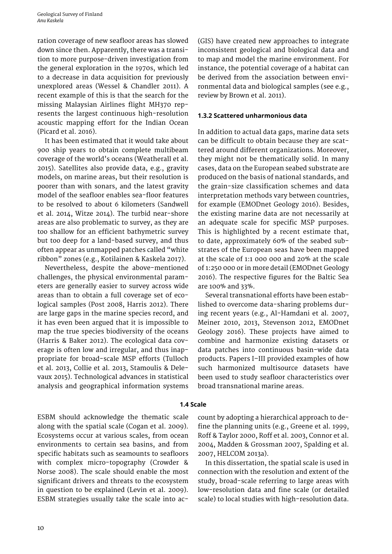<span id="page-10-0"></span>ration coverage of new seafloor areas has slowed down since then. Apparently, there was a transition to more purpose-driven investigation from the general exploration in the 1970s, which led to a decrease in data acquisition for previously unexplored areas (Wessel & Chandler 2011). A recent example of this is that the search for the missing Malaysian Airlines flight MH370 represents the largest continuous high-resolution acoustic mapping effort for the Indian Ocean (Picard et al. 2016).

It has been estimated that it would take about 900 ship years to obtain complete multibeam coverage of the world's oceans (Weatherall et al. 2015). Satellites also provide data, e.g., gravity models, on marine areas, but their resolution is poorer than with sonars, and the latest gravity model of the seafloor enables sea-floor features to be resolved to about 6 kilometers (Sandwell et al. 2014, Witze 2014). The turbid near-shore areas are also problematic to survey, as they are too shallow for an efficient bathymetric survey but too deep for a land-based survey, and thus often appear as unmapped patches called "white ribbon" zones (e.g., Kotilainen & Kaskela 2017).

Nevertheless, despite the above-mentioned challenges, the physical environmental parameters are generally easier to survey across wide areas than to obtain a full coverage set of ecological samples (Post 2008, Harris 2012). There are large gaps in the marine species record, and it has even been argued that it is impossible to map the true species biodiversity of the oceans (Harris & Baker 2012). The ecological data coverage is often low and irregular, and thus inappropriate for broad-scale MSP efforts (Tulloch et al. 2013, Collie et al. 2013, Stamoulis & Delevaux 2015). Technological advances in statistical analysis and geographical information systems

(GIS) have created new approaches to integrate inconsistent geological and biological data and to map and model the marine environment. For instance, the potential coverage of a habitat can be derived from the association between environmental data and biological samples (see e.g., review by Brown et al. 2011).

#### **1.3.2 Scattered unharmonious data**

In addition to actual data gaps, marine data sets can be difficult to obtain because they are scattered around different organizations. Moreover, they might not be thematically solid. In many cases, data on the European seabed substrate are produced on the basis of national standards, and the grain-size classification schemes and data interpretation methods vary between countries, for example (EMODnet Geology 2016). Besides, the existing marine data are not necessarily at an adequate scale for specific MSP purposes. This is highlighted by a recent estimate that, to date, approximately 60% of the seabed substrates of the European seas have been mapped at the scale of 1:1 000 000 and 20% at the scale of 1:250 000 or in more detail (EMODnet Geology 2016). The respective figures for the Baltic Sea are 100% and 33%.

Several transnational efforts have been established to overcome data-sharing problems during recent years (e.g., Al-Hamdani et al. 2007, Meiner 2010, 2013, Stevenson 2012, EMODnet Geology 2016). These projects have aimed to combine and harmonize existing datasets or data patches into continuous basin-wide data products. Papers I–III provided examples of how such harmonized multisource datasets have been used to study seafloor characteristics over broad transnational marine areas.

#### **1.4 Scale**

ESBM should acknowledge the thematic scale along with the spatial scale (Cogan et al. 2009). Ecosystems occur at various scales, from ocean environments to certain sea basins, and from specific habitats such as seamounts to seafloors with complex micro-topography (Crowder & Norse 2008). The scale should enable the most significant drivers and threats to the ecosystem in question to be explained (Levin et al. 2009). ESBM strategies usually take the scale into account by adopting a hierarchical approach to define the planning units (e.g., Greene et al. 1999, Roff & Taylor 2000, Roff et al. 2003, Connor et al. 2004, Madden & Grossman 2007, Spalding et al. 2007, HELCOM 2013a).

In this dissertation, the spatial scale is used in connection with the resolution and extent of the study, broad-scale referring to large areas with low-resolution data and fine scale (or detailed scale) to local studies with high-resolution data.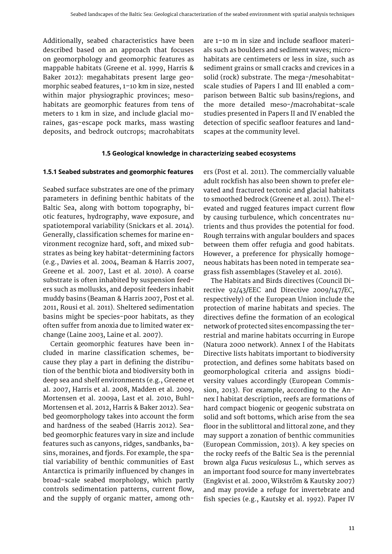<span id="page-11-0"></span>Additionally, seabed characteristics have been described based on an approach that focuses on geomorphology and geomorphic features as mappable habitats (Greene et al. 1999, Harris & Baker 2012): megahabitats present large geomorphic seabed features, 1–10 km in size, nested within major physiographic provinces; mesohabitats are geomorphic features from tens of meters to 1 km in size, and include glacial moraines, gas-escape pock marks, mass wasting deposits, and bedrock outcrops; macrohabitats

are 1–10 m in size and include seafloor materials such as boulders and sediment waves; microhabitats are centimeters or less in size, such as sediment grains or small cracks and crevices in a solid (rock) substrate. The mega-/mesohabitatscale studies of Papers I and III enabled a comparison between Baltic sub basins/regions, and the more detailed meso-/macrohabitat-scale studies presented in Papers II and IV enabled the detection of specific seafloor features and landscapes at the community level.

#### **1.5 Geological knowledge in characterizing seabed ecosystems**

#### **1.5.1 Seabed substrates and geomorphic features**

Seabed surface substrates are one of the primary parameters in defining benthic habitats of the Baltic Sea, along with bottom topography, biotic features, hydrography, wave exposure, and spatiotemporal variability (Snickars et al. 2014). Generally, classification schemes for marine environment recognize hard, soft, and mixed substrates as being key habitat-determining factors (e.g., Davies et al. 2004, Beaman & Harris 2007, Greene et al. 2007, Last et al. 2010). A coarse substrate is often inhabited by suspension feeders such as mollusks, and deposit feeders inhabit muddy basins (Beaman & Harris 2007, Post et al. 2011, Rousi et al. 2011). Sheltered sedimentation basins might be species-poor habitats, as they often suffer from anoxia due to limited water exchange (Laine 2003, Laine et al. 2007).

Certain geomorphic features have been included in marine classification schemes, because they play a part in defining the distribution of the benthic biota and biodiversity both in deep sea and shelf environments (e.g., Greene et al. 2007, Harris et al. 2008, Madden et al. 2009, Mortensen et al. 2009a, Last et al. 2010, Buhl-Mortensen et al. 2012, Harris & Baker 2012). Seabed geomorphology takes into account the form and hardness of the seabed (Harris 2012). Seabed geomorphic features vary in size and include features such as canyons, ridges, sandbanks, basins, moraines, and fjords. For example, the spatial variability of benthic communities of East Antarctica is primarily influenced by changes in broad-scale seabed morphology, which partly controls sedimentation patterns, current flow, and the supply of organic matter, among oth-

ers (Post et al. 2011). The commercially valuable adult rockfish has also been shown to prefer elevated and fractured tectonic and glacial habitats to smoothed bedrock (Greene et al. 2011). The elevated and rugged features impact current flow by causing turbulence, which concentrates nutrients and thus provides the potential for food. Rough terrains with angular boulders and spaces between them offer refugia and good habitats. However, a preference for physically homogeneous habitats has been noted in temperate seagrass fish assemblages (Staveley et al. 2016).

The Habitats and Birds directives (Council Directive 92/43/EEC and Directive 2009/147/EC, respectively) of the European Union include the protection of marine habitats and species. The directives define the formation of an ecological network of protected sites encompassing the terrestrial and marine habitats occurring in Europe (Natura 2000 network). Annex I of the Habitats Directive lists habitats important to biodiversity protection, and defines some habitats based on geomorphological criteria and assigns biodiversity values accordingly (European Commission, 2013). For example, according to the Annex I habitat description, reefs are formations of hard compact biogenic or geogenic substrata on solid and soft bottoms, which arise from the sea floor in the sublittoral and littoral zone, and they may support a zonation of benthic communities (European Commission, 2013). A key species on the rocky reefs of the Baltic Sea is the perennial brown alga *Fucus vesiculosus* L., which serves as an important food source for many invertebrates (Engkvist et al. 2000, Wikström & Kautsky 2007) and may provide a refuge for invertebrate and fish species (e.g., Kautsky et al. 1992). Paper IV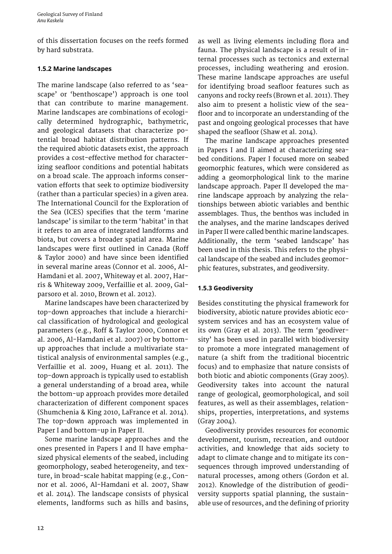<span id="page-12-0"></span>of this dissertation focuses on the reefs formed by hard substrata.

# **1.5.2 Marine landscapes**

The marine landscape (also referred to as 'seascape' or 'benthoscape') approach is one tool that can contribute to marine management. Marine landscapes are combinations of ecologically determined hydrographic, bathymetric, and geological datasets that characterize potential broad habitat distribution patterns. If the required abiotic datasets exist, the approach provides a cost-effective method for characterizing seafloor conditions and potential habitats on a broad scale. The approach informs conservation efforts that seek to optimize biodiversity (rather than a particular species) in a given area. The International Council for the Exploration of the Sea (ICES) specifies that the term 'marine landscape' is similar to the term 'habitat' in that it refers to an area of integrated landforms and biota, but covers a broader spatial area. Marine landscapes were first outlined in Canada (Roff & Taylor 2000) and have since been identified in several marine areas (Connor et al. 2006, Al-Hamdani et al. 2007, Whiteway et al. 2007, Harris & Whiteway 2009, Verfaillie et al. 2009, Galparsoro et al. 2010, Brown et al. 2012).

Marine landscapes have been characterized by top-down approaches that include a hierarchical classification of hydrological and geological parameters (e.g., Roff & Taylor 2000, Connor et al. 2006, Al-Hamdani et al. 2007) or by bottomup approaches that include a multivariate statistical analysis of environmental samples (e.g., Verfaillie et al. 2009, Huang et al. 2011). The top-down approach is typically used to establish a general understanding of a broad area, while the bottom-up approach provides more detailed characterization of different component spaces (Shumchenia & King 2010, LaFrance et al. 2014). The top-down approach was implemented in Paper I and bottom-up in Paper II.

Some marine landscape approaches and the ones presented in Papers I and II have emphasized physical elements of the seabed, including geomorphology, seabed heterogeneity, and texture, in broad-scale habitat mapping (e.g., Connor et al. 2006, Al-Hamdani et al. 2007, Shaw et al. 2014). The landscape consists of physical elements, landforms such as hills and basins,

as well as living elements including flora and fauna. The physical landscape is a result of internal processes such as tectonics and external processes, including weathering and erosion. These marine landscape approaches are useful for identifying broad seafloor features such as canyons and rocky reefs (Brown et al. 2011). They also aim to present a holistic view of the seafloor and to incorporate an understanding of the past and ongoing geological processes that have shaped the seafloor (Shaw et al. 2014).

The marine landscape approaches presented in Papers I and II aimed at characterizing seabed conditions. Paper I focused more on seabed geomorphic features, which were considered as adding a geomorphological link to the marine landscape approach. Paper II developed the marine landscape approach by analyzing the relationships between abiotic variables and benthic assemblages. Thus, the benthos was included in the analyses, and the marine landscapes derived in Paper II were called benthic marine landscapes. Additionally, the term 'seabed landscape' has been used in this thesis. This refers to the physical landscape of the seabed and includes geomorphic features, substrates, and geodiversity.

# **1.5.3 Geodiversity**

Besides constituting the physical framework for biodiversity, abiotic nature provides abiotic ecosystem services and has an ecosystem value of its own (Gray et al. 2013). The term 'geodiversity' has been used in parallel with biodiversity to promote a more integrated management of nature (a shift from the traditional biocentric focus) and to emphasize that nature consists of both biotic and abiotic components (Gray 2005). Geodiversity takes into account the natural range of geological, geomorphological, and soil features, as well as their assemblages, relationships, properties, interpretations, and systems (Gray 2004).

Geodiversity provides resources for economic development, tourism, recreation, and outdoor activities, and knowledge that aids society to adapt to climate change and to mitigate its consequences through improved understanding of natural processes, among others (Gordon et al. 2012). Knowledge of the distribution of geodiversity supports spatial planning, the sustainable use of resources, and the defining of priority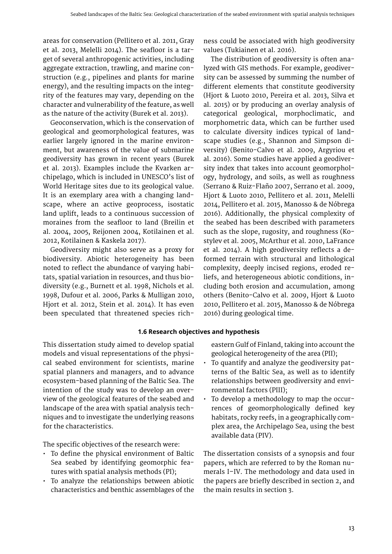areas for conservation (Pellitero et al. 2011, Gray et al. 2013, Melelli 2014). The seafloor is a target of several anthropogenic activities, including aggregate extraction, trawling, and marine construction (e.g., pipelines and plants for marine energy), and the resulting impacts on the integrity of the features may vary, depending on the character and vulnerability of the feature, as well as the nature of the activity (Burek et al. 2013).

Geoconservation, which is the conservation of geological and geomorphological features, was earlier largely ignored in the marine environment, but awareness of the value of submarine geodiversity has grown in recent years (Burek et al. 2013). Examples include the Kvarken archipelago, which is included in UNESCO's list of World Heritage sites due to its geological value. It is an exemplary area with a changing landscape, where an active geoprocess, isostatic land uplift, leads to a continuous succession of moraines from the seafloor to land (Breilin et al. 2004, 2005, Reijonen 2004, Kotilainen et al. 2012, Kotilainen & Kaskela 2017).

Geodiversity might also serve as a proxy for biodiversity. Abiotic heterogeneity has been noted to reflect the abundance of varying habitats, spatial variation in resources, and thus biodiversity (e.g., Burnett et al. 1998, Nichols et al. 1998, Dufour et al. 2006, Parks & Mulligan 2010, Hjort et al. 2012, Stein et al. 2014). It has even been speculated that threatened species rich-

ness could be associated with high geodiversity values (Tukiainen et al. 2016).

The distribution of geodiversity is often analyzed with GIS methods. For example, geodiversity can be assessed by summing the number of different elements that constitute geodiversity (Hjort & Luoto 2010, Pereira et al. 2013, Silva et al. 2015) or by producing an overlay analysis of categorical geological, morphoclimatic, and morphometric data, which can be further used to calculate diversity indices typical of landscape studies (e.g., Shannon and Simpson diversity) (Benito-Calvo et al. 2009, Argyriou et al. 2016). Some studies have applied a geodiversity index that takes into account geomorphology, hydrology, and soils, as well as roughness (Serrano & Ruiz-Flaño 2007, Serrano et al. 2009, Hjort & Luoto 2010, Pellitero et al. 2011, Melelli 2014, Pellitero et al. 2015, Manosso & de Nóbrega 2016). Additionally, the physical complexity of the seabed has been described with parameters such as the slope, rugosity, and roughness (Kostylev et al. 2005, McArthur et al. 2010, LaFrance et al. 2014). A high geodiversity reflects a deformed terrain with structural and lithological complexity, deeply incised regions, eroded reliefs, and heterogeneous abiotic conditions, including both erosion and accumulation, among others (Benito-Calvo et al. 2009, Hjort & Luoto 2010, Pellitero et al. 2015, Manosso & de Nóbrega 2016) during geological time.

#### **1.6 Research objectives and hypothesis**

This dissertation study aimed to develop spatial models and visual representations of the physical seabed environment for scientists, marine spatial planners and managers, and to advance ecosystem-based planning of the Baltic Sea. The intention of the study was to develop an overview of the geological features of the seabed and landscape of the area with spatial analysis techniques and to investigate the underlying reasons for the characteristics.

The specific objectives of the research were:

- To define the physical environment of Baltic Sea seabed by identifying geomorphic features with spatial analysis methods (PI);
- To analyze the relationships between abiotic characteristics and benthic assemblages of the

eastern Gulf of Finland, taking into account the geological heterogeneity of the area (PII);

- To quantify and analyze the geodiversity patterns of the Baltic Sea, as well as to identify relationships between geodiversity and environmental factors (PIII);
- To develop a methodology to map the occurrences of geomorphologically defined key habitats, rocky reefs, in a geographically complex area, the Archipelago Sea, using the best available data (PIV).

The dissertation consists of a synopsis and four papers, which are referred to by the Roman numerals I–IV. The methodology and data used in the papers are briefly described in section 2, and the main results in section 3.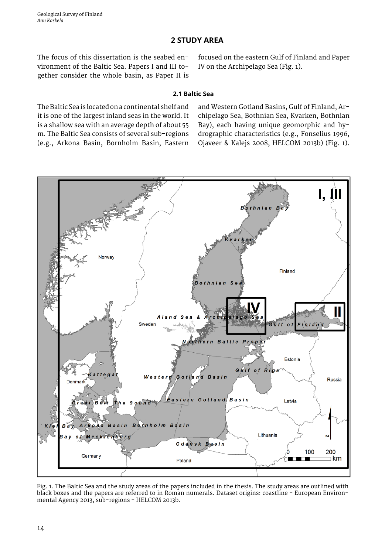# **2 STUDY AREA**

<span id="page-14-0"></span>The focus of this dissertation is the seabed environment of the Baltic Sea. Papers I and III together consider the whole basin, as Paper II is focused on the eastern Gulf of Finland and Paper IV on the Archipelago Sea (Fig. 1).

#### **2.1 Baltic Sea**

The Baltic Sea is located on a continental shelf and it is one of the largest inland seas in the world. It is a shallow sea with an average depth of about 55 m. The Baltic Sea consists of several sub-regions (e.g., Arkona Basin, Bornholm Basin, Eastern and Western Gotland Basins, Gulf of Finland, Archipelago Sea, Bothnian Sea, Kvarken, Bothnian Bay), each having unique geomorphic and hydrographic characteristics (e.g., Fonselius 1996, Ojaveer & Kalejs 2008, HELCOM 2013b) (Fig. 1).



Fig. 1. The Baltic Sea and the study areas of the papers included in the thesis. The study areas are outlined with black boxes and the papers are referred to in Roman numerals. Dataset origins: coastline - European Environmental Agency 2013, sub-regions - HELCOM 2013b.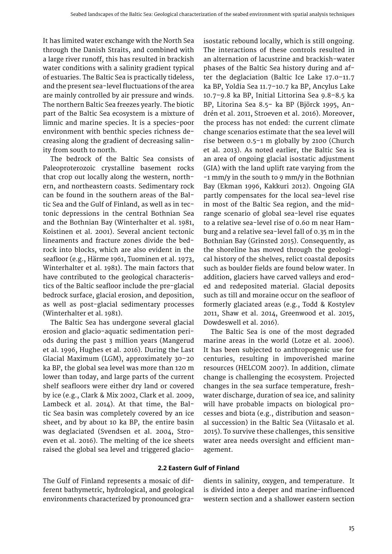It has limited water exchange with the North Sea through the Danish Straits, and combined with a large river runoff, this has resulted in brackish water conditions with a salinity gradient typical of estuaries. The Baltic Sea is practically tideless, and the present sea-level fluctuations of the area are mainly controlled by air pressure and winds. The northern Baltic Sea freezes yearly. The biotic part of the Baltic Sea ecosystem is a mixture of limnic and marine species. It is a species-poor environment with benthic species richness decreasing along the gradient of decreasing salinity from south to north.

The bedrock of the Baltic Sea consists of Paleoproterozoic crystalline basement rocks that crop out locally along the western, northern, and northeastern coasts. Sedimentary rock can be found in the southern areas of the Baltic Sea and the Gulf of Finland, as well as in tectonic depressions in the central Bothnian Sea and the Bothnian Bay (Winterhalter et al. 1981, Koistinen et al. 2001). Several ancient tectonic lineaments and fracture zones divide the bedrock into blocks, which are also evident in the seafloor (e.g., Härme 1961, Tuominen et al. 1973, Winterhalter et al. 1981). The main factors that have contributed to the geological characteristics of the Baltic seafloor include the pre-glacial bedrock surface, glacial erosion, and deposition, as well as post-glacial sedimentary processes (Winterhalter et al. 1981).

The Baltic Sea has undergone several glacial erosion and glacio-aquatic sedimentation periods during the past 3 million years (Mangerud et al. 1996, Hughes et al. 2016). During the Last Glacial Maximum (LGM), approximately 30–20 ka BP, the global sea level was more than 120 m lower than today, and large parts of the current shelf seafloors were either dry land or covered by ice (e.g., Clark & Mix 2002, Clark et al. 2009, Lambeck et al. 2014). At that time, the Baltic Sea basin was completely covered by an ice sheet, and by about 10 ka BP, the entire basin was deglaciated (Svendsen et al. 2004, Stroeven et al. 2016). The melting of the ice sheets raised the global sea level and triggered glacio-

isostatic rebound locally, which is still ongoing. The interactions of these controls resulted in an alternation of lacustrine and brackish-water phases of the Baltic Sea history during and after the deglaciation (Baltic Ice Lake 17.0–11.7 ka BP, Yoldia Sea 11.7–10.7 ka BP, Ancylus Lake 10.7–9.8 ka BP, Initial Littorina Sea 9.8–8.5 ka BP, Litorina Sea 8.5– ka BP (Björck 1995, Andrén et al. 2011, Stroeven et al. 2016). Moreover, the process has not ended: the current climate change scenarios estimate that the sea level will rise between 0.5–1 m globally by 2100 (Church et al. 2013). As noted earlier, the Baltic Sea is an area of ongoing glacial isostatic adjustment (GIA) with the land uplift rate varying from the -1 mm/y in the south to 9 mm/y in the Bothnian Bay (Ekman 1996, Kakkuri 2012). Ongoing GIA partly compensates for the local sea-level rise in most of the Baltic Sea region, and the midrange scenario of global sea-level rise equates to a relative sea-level rise of 0.60 m near Hamburg and a relative sea-level fall of 0.35 m in the Bothnian Bay (Grinsted 2015). Consequently, as the shoreline has moved through the geological history of the shelves, relict coastal deposits such as boulder fields are found below water. In addition, glaciers have carved valleys and eroded and redeposited material. Glacial deposits such as till and moraine occur on the seafloor of formerly glaciated areas (e.g., Todd & Kostylev 2011, Shaw et al. 2014, Greenwood et al. 2015, Dowdeswell et al. 2016).

The Baltic Sea is one of the most degraded marine areas in the world (Lotze et al. 2006). It has been subjected to anthropogenic use for centuries, resulting in impoverished marine resources (HELCOM 2007). In addition, climate change is challenging the ecosystem. Projected changes in the sea surface temperature, freshwater discharge, duration of sea ice, and salinity will have probable impacts on biological processes and biota (e.g., distribution and seasonal succession) in the Baltic Sea (Viitasalo et al. 2015). To survive these challenges, this sensitive water area needs oversight and efficient management.

#### **2.2 Eastern Gulf of Finland**

The Gulf of Finland represents a mosaic of different bathymetric, hydrological, and geological environments characterized by pronounced gradients in salinity, oxygen, and temperature. It is divided into a deeper and marine-influenced western section and a shallower eastern section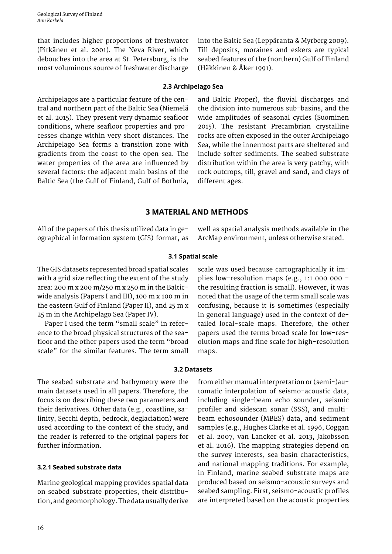<span id="page-16-0"></span>Geological Survey of Finland *Anu Kaskela*

that includes higher proportions of freshwater (Pitkänen et al. 2001). The Neva River, which debouches into the area at St. Petersburg, is the most voluminous source of freshwater discharge

into the Baltic Sea (Leppäranta & Myrberg 2009). Till deposits, moraines and eskers are typical seabed features of the (northern) Gulf of Finland (Häkkinen & Åker 1991).

#### **2.3 Archipelago Sea**

Archipelagos are a particular feature of the central and northern part of the Baltic Sea (Niemelä et al. 2015). They present very dynamic seafloor conditions, where seafloor properties and processes change within very short distances. The Archipelago Sea forms a transition zone with gradients from the coast to the open sea. The water properties of the area are influenced by several factors: the adjacent main basins of the Baltic Sea (the Gulf of Finland, Gulf of Bothnia,

and Baltic Proper), the fluvial discharges and the division into numerous sub-basins, and the wide amplitudes of seasonal cycles (Suominen 2015). The resistant Precambrian crystalline rocks are often exposed in the outer Archipelago Sea, while the innermost parts are sheltered and include softer sediments. The seabed substrate distribution within the area is very patchy, with rock outcrops, till, gravel and sand, and clays of different ages.

# **3 MATERIAL AND METHODS**

All of the papers of this thesis utilized data in geographical information system (GIS) format, as well as spatial analysis methods available in the ArcMap environment, unless otherwise stated.

#### **3.1 Spatial scale**

The GIS datasets represented broad spatial scales with a grid size reflecting the extent of the study area: 200 m x 200 m/250 m x 250 m in the Balticwide analysis (Papers I and III), 100 m x 100 m in the eastern Gulf of Finland (Paper II), and 25 m x 25 m in the Archipelago Sea (Paper IV).

Paper I used the term "small scale" in reference to the broad physical structures of the seafloor and the other papers used the term "broad scale" for the similar features. The term small

scale was used because cartographically it implies low-resolution maps (e.g., 1:1 000 000 – the resulting fraction is small). However, it was noted that the usage of the term small scale was confusing, because it is sometimes (especially in general language) used in the context of detailed local-scale maps. Therefore, the other papers used the terms broad scale for low-resolution maps and fine scale for high-resolution maps.

#### **3.2 Datasets**

The seabed substrate and bathymetry were the main datasets used in all papers. Therefore, the focus is on describing these two parameters and their derivatives. Other data (e.g., coastline, salinity, Secchi depth, bedrock, deglaciation) were used according to the context of the study, and the reader is referred to the original papers for further information.

#### **3.2.1 Seabed substrate data**

Marine geological mapping provides spatial data on seabed substrate properties, their distribution, and geomorphology. The data usually derive from either manual interpretation or (semi-)automatic interpolation of seismo-acoustic data, including single-beam echo sounder, seismic profiler and sidescan sonar (SSS), and multibeam echosounder (MBES) data, and sediment samples (e.g., Hughes Clarke et al. 1996, Coggan et al. 2007, van Lancker et al. 2013, Jakobsson et al. 2016). The mapping strategies depend on the survey interests, sea basin characteristics, and national mapping traditions. For example, in Finland, marine seabed substrate maps are produced based on seismo-acoustic surveys and seabed sampling. First, seismo-acoustic profiles are interpreted based on the acoustic properties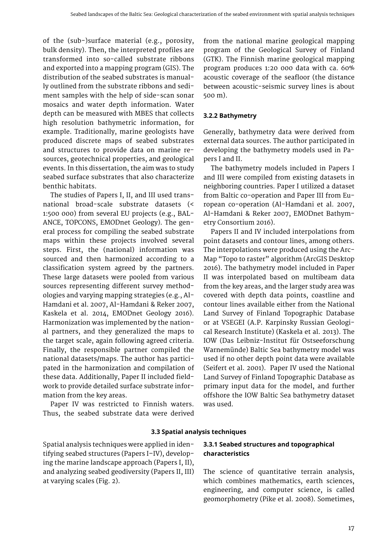<span id="page-17-0"></span>of the (sub-)surface material (e.g., porosity, bulk density). Then, the interpreted profiles are transformed into so-called substrate ribbons and exported into a mapping program (GIS). The distribution of the seabed substrates is manually outlined from the substrate ribbons and sediment samples with the help of side-scan sonar mosaics and water depth information. Water depth can be measured with MBES that collects high resolution bathymetric information, for example. Traditionally, marine geologists have produced discrete maps of seabed substrates and structures to provide data on marine resources, geotechnical properties, and geological events. In this dissertation, the aim was to study seabed surface substrates that also characterize benthic habitats.

The studies of Papers I, II, and III used transnational broad-scale substrate datasets (< 1:500 000) from several EU projects (e.g., BAL-ANCE, TOPCONS, EMODnet Geology). The general process for compiling the seabed substrate maps within these projects involved several steps. First, the (national) information was sourced and then harmonized according to a classification system agreed by the partners. These large datasets were pooled from various sources representing different survey methodologies and varying mapping strategies (e.g., Al-Hamdani et al. 2007, Al-Hamdani & Reker 2007, Kaskela et al. 2014, EMODnet Geology 2016). Harmonization was implemented by the national partners, and they generalized the maps to the target scale, again following agreed criteria. Finally, the responsible partner compiled the national datasets/maps. The author has participated in the harmonization and compilation of these data. Additionally, Paper II included fieldwork to provide detailed surface substrate information from the key areas.

Paper IV was restricted to Finnish waters. Thus, the seabed substrate data were derived

from the national marine geological mapping program of the Geological Survey of Finland (GTK). The Finnish marine geological mapping program produces 1:20 000 data with ca. 60% acoustic coverage of the seafloor (the distance between acoustic-seismic survey lines is about 500 m).

# **3.2.2 Bathymetry**

Generally, bathymetry data were derived from external data sources. The author participated in developing the bathymetry models used in Papers I and II.

The bathymetry models included in Papers I and III were compiled from existing datasets in neighboring countries. Paper I utilized a dataset from Baltic co-operation and Paper III from European co-operation (Al-Hamdani et al. 2007, Al-Hamdani & Reker 2007, EMODnet Bathymetry Consortium 2016).

Papers II and IV included interpolations from point datasets and contour lines, among others. The interpolations were produced using the Arc-Map "Topo to raster" algorithm (ArcGIS Desktop 2016). The bathymetry model included in Paper II was interpolated based on multibeam data from the key areas, and the larger study area was covered with depth data points, coastline and contour lines available either from the National Land Survey of Finland Topographic Database or at VSEGEI (A.P. Karpinsky Russian Geological Research Institute) (Kaskela et al. 2013). The IOW (Das Leibniz-Institut für Ostseeforschung Warnemünde) Baltic Sea bathymetry model was used if no other depth point data were available (Seifert et al. 2001). Paper IV used the National Land Survey of Finland Topographic Database as primary input data for the model, and further offshore the IOW Baltic Sea bathymetry dataset was used.

# **3.3 Spatial analysis techniques**

Spatial analysis techniques were applied in identifying seabed structures (Papers I–IV), developing the marine landscape approach (Papers I, II), and analyzing seabed geodiversity (Papers II, III) at varying scales (Fig. 2).

# **3.3.1 Seabed structures and topographical characteristics**

The science of quantitative terrain analysis, which combines mathematics, earth sciences, engineering, and computer science, is called geomorphometry (Pike et al. 2008). Sometimes,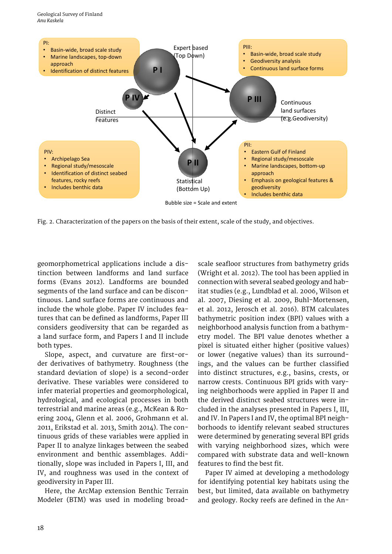<span id="page-18-0"></span>

Fig. 2. Characterization of the papers on the basis of their extent, scale of the study, and objectives.

geomorphometrical applications include a distinction between landforms and land surface forms (Evans 2012). Landforms are bounded segments of the land surface and can be discontinuous. Land surface forms are continuous and include the whole globe. Paper IV includes features that can be defined as landforms, Paper III considers geodiversity that can be regarded as a land surface form, and Papers I and II include both types.

Slope, aspect, and curvature are first-order derivatives of bathymetry. Roughness (the standard deviation of slope) is a second-order derivative. These variables were considered to infer material properties and geomorphological, hydrological, and ecological processes in both terrestrial and marine areas (e.g., McKean & Roering 2004, Glenn et al. 2006, Grohmann et al. 2011, Erikstad et al. 2013, Smith 2014). The continuous grids of these variables were applied in Paper II to analyze linkages between the seabed environment and benthic assemblages. Additionally, slope was included in Papers I, III, and IV, and roughness was used in the context of geodiversity in Paper III.

Here, the ArcMap extension Benthic Terrain Modeler (BTM) was used in modeling broad-

scale seafloor structures from bathymetry grids (Wright et al. 2012). The tool has been applied in connection with several seabed geology and habitat studies (e.g., Lundblad et al. 2006, Wilson et al. 2007, Diesing et al. 2009, Buhl-Mortensen, et al. 2012, Jerosch et al. 2016). BTM calculates bathymetric position index (BPI) values with a neighborhood analysis function from a bathymetry model. The BPI value denotes whether a pixel is situated either higher (positive values) or lower (negative values) than its surroundings, and the values can be further classified into distinct structures, e.g., basins, crests, or narrow crests. Continuous BPI grids with varying neighborhoods were applied in Paper II and the derived distinct seabed structures were included in the analyses presented in Papers I, III, and IV. In Papers I and IV, the optimal BPI neighborhoods to identify relevant seabed structures were determined by generating several BPI grids with varying neighborhood sizes, which were compared with substrate data and well-known features to find the best fit.

Paper IV aimed at developing a methodology for identifying potential key habitats using the best, but limited, data available on bathymetry and geology. Rocky reefs are defined in the An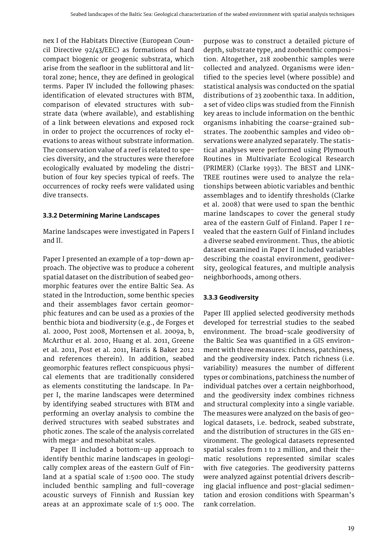<span id="page-19-0"></span>nex I of the Habitats Directive (European Council Directive 92/43/EEC) as formations of hard compact biogenic or geogenic substrata, which arise from the seafloor in the sublittoral and littoral zone; hence, they are defined in geological terms. Paper IV included the following phases: identification of elevated structures with BTM, comparison of elevated structures with substrate data (where available), and establishing of a link between elevations and exposed rock in order to project the occurrences of rocky elevations to areas without substrate information. The conservation value of a reef is related to species diversity, and the structures were therefore ecologically evaluated by modeling the distribution of four key species typical of reefs. The occurrences of rocky reefs were validated using dive transects.

#### **3.3.2 Determining Marine Landscapes**

Marine landscapes were investigated in Papers I and II.

Paper I presented an example of a top-down approach. The objective was to produce a coherent spatial dataset on the distribution of seabed geomorphic features over the entire Baltic Sea. As stated in the Introduction, some benthic species and their assemblages favor certain geomorphic features and can be used as a proxies of the benthic biota and biodiversity (e.g., de Forges et al. 2000, Post 2008, Mortensen et al. 2009a, b, McArthur et al. 2010, Huang et al. 2011, Greene et al. 2011, Post et al. 2011, Harris & Baker 2012 and references therein). In addition, seabed geomorphic features reflect conspicuous physical elements that are traditionally considered as elements constituting the landscape. In Paper I, the marine landscapes were determined by identifying seabed structures with BTM and performing an overlay analysis to combine the derived structures with seabed substrates and photic zones. The scale of the analysis correlated with mega- and mesohabitat scales.

Paper II included a bottom-up approach to identify benthic marine landscapes in geologically complex areas of the eastern Gulf of Finland at a spatial scale of 1:500 000. The study included benthic sampling and full-coverage acoustic surveys of Finnish and Russian key areas at an approximate scale of 1:5 000. The

purpose was to construct a detailed picture of depth, substrate type, and zoobenthic composition. Altogether, 218 zoobenthic samples were collected and analyzed. Organisms were identified to the species level (where possible) and statistical analysis was conducted on the spatial distributions of 23 zoobenthic taxa. In addition, a set of video clips was studied from the Finnish key areas to include information on the benthic organisms inhabiting the coarse-grained substrates. The zoobenthic samples and video observations were analyzed separately. The statistical analyses were performed using Plymouth Routines in Multivariate Ecological Research (PRIMER) (Clarke 1993). The BEST and LINK-TREE routines were used to analyze the relationships between abiotic variables and benthic assemblages and to identify thresholds (Clarke et al. 2008) that were used to span the benthic marine landscapes to cover the general study area of the eastern Gulf of Finland. Paper I revealed that the eastern Gulf of Finland includes a diverse seabed environment. Thus, the abiotic dataset examined in Paper II included variables describing the coastal environment, geodiversity, geological features, and multiple analysis neighborhoods, among others.

# **3.3.3 Geodiversity**

Paper III applied selected geodiversity methods developed for terrestrial studies to the seabed environment. The broad-scale geodiversity of the Baltic Sea was quantified in a GIS environment with three measures: richness, patchiness, and the geodiversity index. Patch richness (i.e. variability) measures the number of different types or combinations, patchiness the number of individual patches over a certain neighborhood, and the geodiversity index combines richness and structural complexity into a single variable. The measures were analyzed on the basis of geological datasets, i.e. bedrock, seabed substrate, and the distribution of structures in the GIS environment. The geological datasets represented spatial scales from 1 to 2 million, and their thematic resolutions represented similar scales with five categories. The geodiversity patterns were analyzed against potential drivers describing glacial influence and post-glacial sedimentation and erosion conditions with Spearman's rank correlation.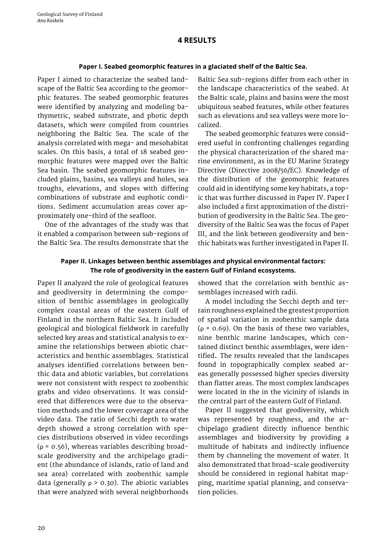# **4 RESULTS**

#### **Paper I. Seabed geomorphic features in a glaciated shelf of the Baltic Sea.**

<span id="page-20-0"></span>Paper I aimed to characterize the seabed landscape of the Baltic Sea according to the geomorphic features. The seabed geomorphic features were identified by analyzing and modeling bathymetric, seabed substrate, and photic depth datasets, which were compiled from countries neighboring the Baltic Sea. The scale of the analysis correlated with mega- and mesohabitat scales. On this basis, a total of 18 seabed geomorphic features were mapped over the Baltic Sea basin. The seabed geomorphic features included plains, basins, sea valleys and holes, sea troughs, elevations, and slopes with differing combinations of substrate and euphotic conditions. Sediment accumulation areas cover approximately one-third of the seafloor.

One of the advantages of the study was that it enabled a comparison between sub-regions of the Baltic Sea. The results demonstrate that the Baltic Sea sub-regions differ from each other in the landscape characteristics of the seabed. At the Baltic scale, plains and basins were the most ubiquitous seabed features, while other features such as elevations and sea valleys were more localized.

The seabed geomorphic features were considered useful in confronting challenges regarding the physical characterization of the shared marine environment, as in the EU Marine Strategy Directive (Directive 2008/56/EC). Knowledge of the distribution of the geomorphic features could aid in identifying some key habitats, a topic that was further discussed in Paper IV. Paper I also included a first approximation of the distribution of geodiversity in the Baltic Sea. The geodiversity of the Baltic Sea was the focus of Paper III, and the link between geodiversity and benthic habitats was further investigated in Paper II.

# **Paper II. Linkages between benthic assemblages and physical environmental factors: The role of geodiversity in the eastern Gulf of Finland ecosystems.**

Paper II analyzed the role of geological features and geodiversity in determining the composition of benthic assemblages in geologically complex coastal areas of the eastern Gulf of Finland in the northern Baltic Sea. It included geological and biological fieldwork in carefully selected key areas and statistical analysis to examine the relationships between abiotic characteristics and benthic assemblages. Statistical analyses identified correlations between benthic data and abiotic variables, but correlations were not consistent with respect to zoobenthic grabs and video observations. It was considered that differences were due to the observation methods and the lower coverage area of the video data. The ratio of Secchi depth to water depth showed a strong correlation with species distributions observed in video recordings ( $\rho$  = 0.56), whereas variables describing broadscale geodiversity and the archipelago gradient (the abundance of islands, ratio of land and sea area) correlated with zoobenthic sample data (generally  $\rho > 0.30$ ). The abiotic variables that were analyzed with several neighborhoods showed that the correlation with benthic assemblages increased with radii.

A model including the Secchi depth and terrain roughness explained the greatest proportion of spatial variation in zoobenthic sample data ( $\rho$  = 0.69). On the basis of these two variables, nine benthic marine landscapes, which contained distinct benthic assemblages, were identified. The results revealed that the landscapes found in topographically complex seabed areas generally possessed higher species diversity than flatter areas. The most complex landscapes were located in the in the vicinity of islands in the central part of the eastern Gulf of Finland.

Paper II suggested that geodiversity, which was represented by roughness, and the archipelago gradient directly influence benthic assemblages and biodiversity by providing a multitude of habitats and indirectly influence them by channeling the movement of water. It also demonstrated that broad-scale geodiversity should be considered in regional habitat mapping, maritime spatial planning, and conservation policies.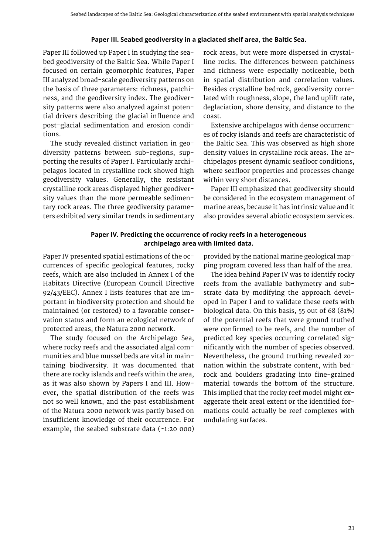# **Paper III. Seabed geodiversity in a glaciated shelf area, the Baltic Sea.**

Paper III followed up Paper I in studying the seabed geodiversity of the Baltic Sea. While Paper I focused on certain geomorphic features, Paper III analyzed broad-scale geodiversity patterns on the basis of three parameters: richness, patchiness, and the geodiversity index. The geodiversity patterns were also analyzed against potential drivers describing the glacial influence and post-glacial sedimentation and erosion conditions.

The study revealed distinct variation in geodiversity patterns between sub-regions, supporting the results of Paper I. Particularly archipelagos located in crystalline rock showed high geodiversity values. Generally, the resistant crystalline rock areas displayed higher geodiversity values than the more permeable sedimentary rock areas. The three geodiversity parameters exhibited very similar trends in sedimentary

rock areas, but were more dispersed in crystalline rocks. The differences between patchiness and richness were especially noticeable, both in spatial distribution and correlation values. Besides crystalline bedrock, geodiversity correlated with roughness, slope, the land uplift rate, deglaciation, shore density, and distance to the coast.

Extensive archipelagos with dense occurrences of rocky islands and reefs are characteristic of the Baltic Sea. This was observed as high shore density values in crystalline rock areas. The archipelagos present dynamic seafloor conditions, where seafloor properties and processes change within very short distances.

Paper III emphasized that geodiversity should be considered in the ecosystem management of marine areas, because it has intrinsic value and it also provides several abiotic ecosystem services.

# **Paper IV. Predicting the occurrence of rocky reefs in a heterogeneous archipelago area with limited data.**

Paper IV presented spatial estimations of the occurrences of specific geological features, rocky reefs, which are also included in Annex I of the Habitats Directive (European Council Directive 92/43/EEC). Annex I lists features that are important in biodiversity protection and should be maintained (or restored) to a favorable conservation status and form an ecological network of protected areas, the Natura 2000 network.

The study focused on the Archipelago Sea, where rocky reefs and the associated algal communities and blue mussel beds are vital in maintaining biodiversity. It was documented that there are rocky islands and reefs within the area, as it was also shown by Papers I and III. However, the spatial distribution of the reefs was not so well known, and the past establishment of the Natura 2000 network was partly based on insufficient knowledge of their occurrence. For example, the seabed substrate data (~1:20 000)

provided by the national marine geological mapping program covered less than half of the area.

The idea behind Paper IV was to identify rocky reefs from the available bathymetry and substrate data by modifying the approach developed in Paper I and to validate these reefs with biological data. On this basis, 55 out of 68 (81%) of the potential reefs that were ground truthed were confirmed to be reefs, and the number of predicted key species occurring correlated significantly with the number of species observed. Nevertheless, the ground truthing revealed zonation within the substrate content, with bedrock and boulders gradating into fine-grained material towards the bottom of the structure. This implied that the rocky reef model might exaggerate their areal extent or the identified formations could actually be reef complexes with undulating surfaces.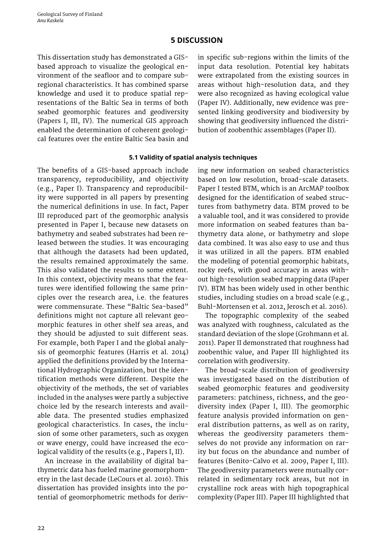# **5 DISCUSSION**

<span id="page-22-0"></span>This dissertation study has demonstrated a GISbased approach to visualize the geological environment of the seafloor and to compare subregional characteristics. It has combined sparse knowledge and used it to produce spatial representations of the Baltic Sea in terms of both seabed geomorphic features and geodiversity (Papers I, III, IV). The numerical GIS approach enabled the determination of coherent geological features over the entire Baltic Sea basin and

in specific sub-regions within the limits of the input data resolution. Potential key habitats were extrapolated from the existing sources in areas without high-resolution data, and they were also recognized as having ecological value (Paper IV). Additionally, new evidence was presented linking geodiversity and biodiversity by showing that geodiversity influenced the distribution of zoobenthic assemblages (Paper II).

#### **5.1 Validity of spatial analysis techniques**

The benefits of a GIS-based approach include transparency, reproducibility, and objectivity (e.g., Paper I). Transparency and reproducibility were supported in all papers by presenting the numerical definitions in use. In fact, Paper III reproduced part of the geomorphic analysis presented in Paper I, because new datasets on bathymetry and seabed substrates had been released between the studies. It was encouraging that although the datasets had been updated, the results remained approximately the same. This also validated the results to some extent. In this context, objectivity means that the features were identified following the same principles over the research area, i.e. the features were commensurate. These "Baltic Sea-based" definitions might not capture all relevant geomorphic features in other shelf sea areas, and they should be adjusted to suit different seas. For example, both Paper I and the global analysis of geomorphic features (Harris et al. 2014) applied the definitions provided by the International Hydrographic Organization, but the identification methods were different. Despite the objectivity of the methods, the set of variables included in the analyses were partly a subjective choice led by the research interests and available data. The presented studies emphasized geological characteristics. In cases, the inclusion of some other parameters, such as oxygen or wave energy, could have increased the ecological validity of the results (e.g., Papers I, II).

An increase in the availability of digital bathymetric data has fueled marine geomorphometry in the last decade (LeCours et al. 2016). This dissertation has provided insights into the potential of geomorphometric methods for deriving new information on seabed characteristics based on low resolution, broad-scale datasets. Paper I tested BTM, which is an ArcMAP toolbox designed for the identification of seabed structures from bathymetry data. BTM proved to be a valuable tool, and it was considered to provide more information on seabed features than bathymetry data alone, or bathymetry and slope data combined. It was also easy to use and thus it was utilized in all the papers. BTM enabled the modeling of potential geomorphic habitats, rocky reefs, with good accuracy in areas without high-resolution seabed mapping data (Paper IV). BTM has been widely used in other benthic studies, including studies on a broad scale (e.g., Buhl-Mortensen et al. 2012, Jerosch et al. 2016).

The topographic complexity of the seabed was analyzed with roughness, calculated as the standard deviation of the slope (Grohmann et al. 2011). Paper II demonstrated that roughness had zoobenthic value, and Paper III highlighted its correlation with geodiversity.

The broad-scale distribution of geodiversity was investigated based on the distribution of seabed geomorphic features and geodiversity parameters: patchiness, richness, and the geodiversity index (Paper I, III). The geomorphic feature analysis provided information on general distribution patterns, as well as on rarity, whereas the geodiversity parameters themselves do not provide any information on rarity but focus on the abundance and number of features (Benito-Calvo et al. 2009, Paper I, III). The geodiversity parameters were mutually correlated in sedimentary rock areas, but not in crystalline rock areas with high topographical complexity (Paper III). Paper III highlighted that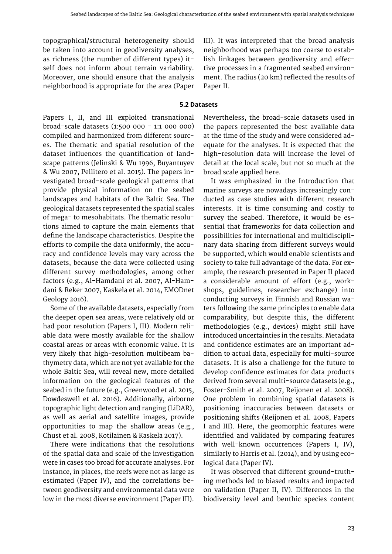<span id="page-23-0"></span>topographical/structural heterogeneity should be taken into account in geodiversity analyses, as richness (the number of different types) itself does not inform about terrain variability. Moreover, one should ensure that the analysis neighborhood is appropriate for the area (Paper III). It was interpreted that the broad analysis neighborhood was perhaps too coarse to establish linkages between geodiversity and effective processes in a fragmented seabed environment. The radius (20 km) reflected the results of Paper II.

### **5.2 Datasets**

Papers I, II, and III exploited transnational broad-scale datasets (1:500 000 - 1:1 000 000) compiled and harmonized from different sources. The thematic and spatial resolution of the dataset influences the quantification of landscape patterns (Jelinski & Wu 1996, Buyantuyev & Wu 2007, Pellitero et al. 2015). The papers investigated broad-scale geological patterns that provide physical information on the seabed landscapes and habitats of the Baltic Sea. The geological datasets represented the spatial scales of mega- to mesohabitats. The thematic resolutions aimed to capture the main elements that define the landscape characteristics. Despite the efforts to compile the data uniformly, the accuracy and confidence levels may vary across the datasets, because the data were collected using different survey methodologies, among other factors (e.g., Al-Hamdani et al. 2007, Al-Hamdani & Reker 2007, Kaskela et al. 2014, EMODnet Geology 2016).

Some of the available datasets, especially from the deeper open sea areas, were relatively old or had poor resolution (Papers I, III). Modern reliable data were mostly available for the shallow coastal areas or areas with economic value. It is very likely that high-resolution multibeam bathymetry data, which are not yet available for the whole Baltic Sea, will reveal new, more detailed information on the geological features of the seabed in the future (e.g., Greenwood et al. 2015, Dowdeswell et al. 2016). Additionally, airborne topographic light detection and ranging (LiDAR), as well as aerial and satellite images, provide opportunities to map the shallow areas (e.g., Chust et al. 2008, Kotilainen & Kaskela 2017).

There were indications that the resolutions of the spatial data and scale of the investigation were in cases too broad for accurate analyses. For instance, in places, the reefs were not as large as estimated (Paper IV), and the correlations between geodiversity and environmental data were low in the most diverse environment (Paper III). Nevertheless, the broad-scale datasets used in the papers represented the best available data at the time of the study and were considered adequate for the analyses. It is expected that the high-resolution data will increase the level of detail at the local scale, but not so much at the broad scale applied here.

It was emphasized in the Introduction that marine surveys are nowadays increasingly conducted as case studies with different research interests. It is time consuming and costly to survey the seabed. Therefore, it would be essential that frameworks for data collection and possibilities for international and multidisciplinary data sharing from different surveys would be supported, which would enable scientists and society to take full advantage of the data. For example, the research presented in Paper II placed a considerable amount of effort (e.g., workshops, guidelines, researcher exchange) into conducting surveys in Finnish and Russian waters following the same principles to enable data comparability, but despite this, the different methodologies (e.g., devices) might still have introduced uncertainties in the results. Metadata and confidence estimates are an important addition to actual data, especially for multi-source datasets. It is also a challenge for the future to develop confidence estimates for data products derived from several multi-source datasets (e.g., Foster-Smith et al. 2007, Reijonen et al. 2008). One problem in combining spatial datasets is positioning inaccuracies between datasets or positioning shifts (Reijonen et al. 2008, Papers I and III). Here, the geomorphic features were identified and validated by comparing features with well-known occurrences (Papers I, IV), similarly to Harris et al. (2014), and by using ecological data (Paper IV).

It was observed that different ground-truthing methods led to biased results and impacted on validation (Paper II, IV). Differences in the biodiversity level and benthic species content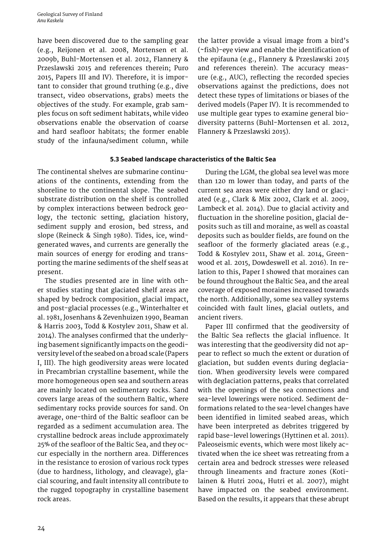<span id="page-24-0"></span>have been discovered due to the sampling gear (e.g., Reijonen et al. 2008, Mortensen et al. 2009b, Buhl-Mortensen et al. 2012, Flannery & Przeslawski 2015 and references therein; Puro 2015, Papers III and IV). Therefore, it is important to consider that ground truthing (e.g., dive transect, video observations, grabs) meets the objectives of the study. For example, grab samples focus on soft sediment habitats, while video observations enable the observation of coarse and hard seafloor habitats; the former enable study of the infauna/sediment column, while

the latter provide a visual image from a bird's (~fish)-eye view and enable the identification of the epifauna (e.g., Flannery & Przeslawski 2015 and references therein). The accuracy measure (e.g., AUC), reflecting the recorded species observations against the predictions, does not detect these types of limitations or biases of the derived models (Paper IV). It is recommended to use multiple gear types to examine general biodiversity patterns (Buhl-Mortensen et al. 2012, Flannery & Przeslawski 2015).

#### **5.3 Seabed landscape characteristics of the Baltic Sea**

The continental shelves are submarine continuations of the continents, extending from the shoreline to the continental slope. The seabed substrate distribution on the shelf is controlled by complex interactions between bedrock geology, the tectonic setting, glaciation history, sediment supply and erosion, bed stress, and slope (Reineck & Singh 1980). Tides, ice, windgenerated waves, and currents are generally the main sources of energy for eroding and transporting the marine sediments of the shelf seas at present.

The studies presented are in line with other studies stating that glaciated shelf areas are shaped by bedrock composition, glacial impact, and post-glacial processes (e.g., Winterhalter et al. 1981, Josenhans & Zevenhuizen 1990, Beaman & Harris 2003, Todd & Kostylev 2011, Shaw et al. 2014). The analyses confirmed that the underlying basement significantly impacts on the geodiversity level of the seabed on a broad scale (Papers I, III). The high geodiversity areas were located in Precambrian crystalline basement, while the more homogeneous open sea and southern areas are mainly located on sedimentary rocks. Sand covers large areas of the southern Baltic, where sedimentary rocks provide sources for sand. On average, one-third of the Baltic seafloor can be regarded as a sediment accumulation area. The crystalline bedrock areas include approximately 25% of the seafloor of the Baltic Sea, and they occur especially in the northern area. Differences in the resistance to erosion of various rock types (due to hardness, lithology, and cleavage), glacial scouring, and fault intensity all contribute to the rugged topography in crystalline basement rock areas.

During the LGM, the global sea level was more than 120 m lower than today, and parts of the current sea areas were either dry land or glaciated (e.g., Clark & Mix 2002, Clark et al. 2009, Lambeck et al. 2014). Due to glacial activity and fluctuation in the shoreline position, glacial deposits such as till and moraine, as well as coastal deposits such as boulder fields, are found on the seafloor of the formerly glaciated areas (e.g., Todd & Kostylev 2011, Shaw et al. 2014, Greenwood et al. 2015, Dowdeswell et al. 2016). In relation to this, Paper I showed that moraines can be found throughout the Baltic Sea, and the areal coverage of exposed moraines increased towards the north. Additionally, some sea valley systems coincided with fault lines, glacial outlets, and ancient rivers.

Paper III confirmed that the geodiversity of the Baltic Sea reflects the glacial influence. It was interesting that the geodiversity did not appear to reflect so much the extent or duration of glaciation, but sudden events during deglaciation. When geodiversity levels were compared with deglaciation patterns, peaks that correlated with the openings of the sea connections and sea-level lowerings were noticed. Sediment deformations related to the sea-level changes have been identified in limited seabed areas, which have been interpreted as debrites triggered by rapid base-level lowerings (Hyttinen et al. 2011). Paleoseismic events, which were most likely activated when the ice sheet was retreating from a certain area and bedrock stresses were released through lineaments and fracture zones (Kotilainen & Hutri 2004, Hutri et al. 2007), might have impacted on the seabed environment. Based on the results, it appears that these abrupt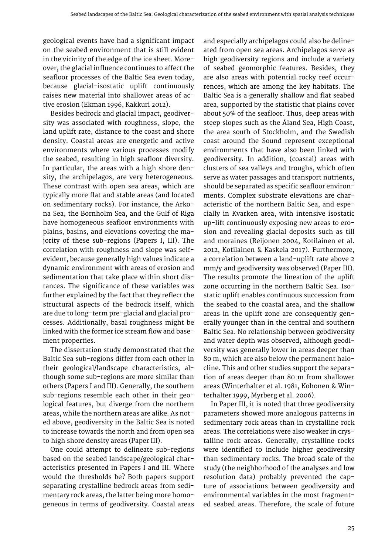geological events have had a significant impact on the seabed environment that is still evident in the vicinity of the edge of the ice sheet. Moreover, the glacial influence continues to affect the seafloor processes of the Baltic Sea even today, because glacial-isostatic uplift continuously raises new material into shallower areas of active erosion (Ekman 1996, Kakkuri 2012).

Besides bedrock and glacial impact, geodiversity was associated with roughness, slope, the land uplift rate, distance to the coast and shore density. Coastal areas are energetic and active environments where various processes modify the seabed, resulting in high seafloor diversity. In particular, the areas with a high shore density, the archipelagos, are very heterogeneous. These contrast with open sea areas, which are typically more flat and stable areas (and located on sedimentary rocks). For instance, the Arkona Sea, the Bornholm Sea, and the Gulf of Riga have homogeneous seafloor environments with plains, basins, and elevations covering the majority of these sub-regions (Papers I, III). The correlation with roughness and slope was selfevident, because generally high values indicate a dynamic environment with areas of erosion and sedimentation that take place within short distances. The significance of these variables was further explained by the fact that they reflect the structural aspects of the bedrock itself, which are due to long-term pre-glacial and glacial processes. Additionally, basal roughness might be linked with the former ice stream flow and basement properties.

The dissertation study demonstrated that the Baltic Sea sub-regions differ from each other in their geological/landscape characteristics, although some sub-regions are more similar than others (Papers I and III). Generally, the southern sub-regions resemble each other in their geological features, but diverge from the northern areas, while the northern areas are alike. As noted above, geodiversity in the Baltic Sea is noted to increase towards the north and from open sea to high shore density areas (Paper III).

One could attempt to delineate sub-regions based on the seabed landscape/geological characteristics presented in Papers I and III. Where would the thresholds be? Both papers support separating crystalline bedrock areas from sedimentary rock areas, the latter being more homogeneous in terms of geodiversity. Coastal areas

and especially archipelagos could also be delineated from open sea areas. Archipelagos serve as high geodiversity regions and include a variety of seabed geomorphic features. Besides, they are also areas with potential rocky reef occurrences, which are among the key habitats. The Baltic Sea is a generally shallow and flat seabed area, supported by the statistic that plains cover about 50% of the seafloor. Thus, deep areas with steep slopes such as the Åland Sea, High Coast, the area south of Stockholm, and the Swedish coast around the Sound represent exceptional environments that have also been linked with geodiversity. In addition, (coastal) areas with clusters of sea valleys and troughs, which often serve as water passages and transport nutrients, should be separated as specific seafloor environments. Complex substrate elevations are characteristic of the northern Baltic Sea, and especially in Kvarken area, with intensive isostatic up-lift continuously exposing new areas to erosion and revealing glacial deposits such as till and moraines (Reijonen 2004, Kotilainen et al. 2012, Kotilainen & Kaskela 2017). Furthermore, a correlation between a land-uplift rate above 2 mm/y and geodiversity was observed (Paper III). The results promote the lineation of the uplift zone occurring in the northern Baltic Sea. Isostatic uplift enables continuous succession from the seabed to the coastal area, and the shallow areas in the uplift zone are consequently generally younger than in the central and southern Baltic Sea. No relationship between geodiversity and water depth was observed, although geodiversity was generally lower in areas deeper than 80 m, which are also below the permanent halocline. This and other studies support the separation of areas deeper than 80 m from shallower areas (Winterhalter et al. 1981, Kohonen & Winterhalter 1999, Myrberg et al. 2006).

In Paper III, it is noted that three geodiversity parameters showed more analogous patterns in sedimentary rock areas than in crystalline rock areas. The correlations were also weaker in crystalline rock areas. Generally, crystalline rocks were identified to include higher geodiversity than sedimentary rocks. The broad scale of the study (the neighborhood of the analyses and low resolution data) probably prevented the capture of associations between geodiversity and environmental variables in the most fragmented seabed areas. Therefore, the scale of future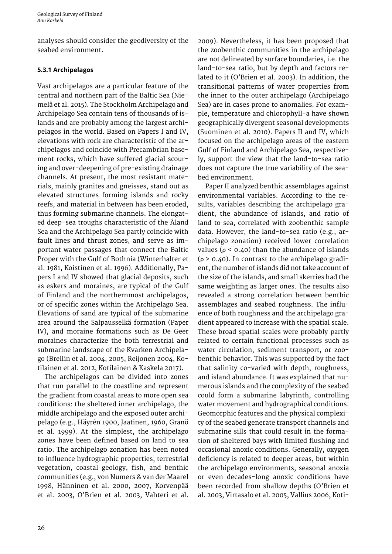<span id="page-26-0"></span>analyses should consider the geodiversity of the seabed environment.

# **5.3.1 Archipelagos**

Vast archipelagos are a particular feature of the central and northern part of the Baltic Sea (Niemelä et al. 2015). The Stockholm Archipelago and Archipelago Sea contain tens of thousands of islands and are probably among the largest archipelagos in the world. Based on Papers I and IV, elevations with rock are characteristic of the archipelagos and coincide with Precambrian basement rocks, which have suffered glacial scouring and over-deepening of pre-existing drainage channels. At present, the most resistant materials, mainly granites and gneisses, stand out as elevated structures forming islands and rocky reefs, and material in between has been eroded, thus forming submarine channels. The elongated deep-sea troughs characteristic of the Åland Sea and the Archipelago Sea partly coincide with fault lines and thrust zones, and serve as important water passages that connect the Baltic Proper with the Gulf of Bothnia (Winterhalter et al. 1981, Koistinen et al. 1996). Additionally, Papers I and IV showed that glacial deposits, such as eskers and moraines, are typical of the Gulf of Finland and the northernmost archipelagos, or of specific zones within the Archipelago Sea. Elevations of sand are typical of the submarine area around the Salpausselkä formation (Paper IV), and moraine formations such as De Geer moraines characterize the both terrestrial and submarine landscape of the Kvarken Archipelago (Breilin et al. 2004, 2005, Reijonen 2004, Kotilainen et al. 2012, Kotilainen & Kaskela 2017).

The archipelagos can be divided into zones that run parallel to the coastline and represent the gradient from coastal areas to more open sea conditions: the sheltered inner archipelago, the middle archipelago and the exposed outer archipelago (e.g., Häyrén 1900, Jaatinen, 1960, Granö et al. 1999). At the simplest, the archipelago zones have been defined based on land to sea ratio. The archipelago zonation has been noted to influence hydrographic properties, terrestrial vegetation, coastal geology, fish, and benthic communities (e.g., von Numers & van der Maarel 1998, Hänninen et al. 2000, 2007, Korvenpää et al. 2003, O'Brien et al. 2003, Vahteri et al.

2009). Nevertheless, it has been proposed that the zoobenthic communities in the archipelago are not delineated by surface boundaries, i.e. the land-to-sea ratio, but by depth and factors related to it (O'Brien et al. 2003). In addition, the transitional patterns of water properties from the inner to the outer archipelago (Archipelago Sea) are in cases prone to anomalies. For example, temperature and chlorophyll-a have shown geographically divergent seasonal developments (Suominen et al. 2010). Papers II and IV, which focused on the archipelago areas of the eastern Gulf of Finland and Archipelago Sea, respectively, support the view that the land-to-sea ratio does not capture the true variability of the seabed environment.

Paper II analyzed benthic assemblages against environmental variables. According to the results, variables describing the archipelago gradient, the abundance of islands, and ratio of land to sea, correlated with zoobenthic sample data. However, the land-to-sea ratio (e.g., archipelago zonation) received lower correlation values ( $ρ$  < 0.40) than the abundance of islands ( $\rho$  > 0.40). In contrast to the archipelago gradient, the number of islands did not take account of the size of the islands, and small skerries had the same weighting as larger ones. The results also revealed a strong correlation between benthic assemblages and seabed roughness. The influence of both roughness and the archipelago gradient appeared to increase with the spatial scale. These broad spatial scales were probably partly related to certain functional processes such as water circulation, sediment transport, or zoobenthic behavior. This was supported by the fact that salinity co-varied with depth, roughness, and island abundance. It was explained that numerous islands and the complexity of the seabed could form a submarine labyrinth, controlling water movement and hydrographical conditions. Geomorphic features and the physical complexity of the seabed generate transport channels and submarine sills that could result in the formation of sheltered bays with limited flushing and occasional anoxic conditions. Generally, oxygen deficiency is related to deeper areas, but within the archipelago environments, seasonal anoxia or even decades-long anoxic conditions have been recorded from shallow depths (O'Brien et al. 2003, Virtasalo et al. 2005, Vallius 2006, Koti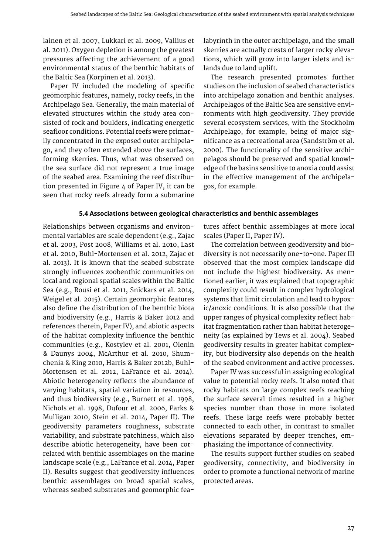lainen et al. 2007, Lukkari et al. 2009, Vallius et al. 2011). Oxygen depletion is among the greatest pressures affecting the achievement of a good environmental status of the benthic habitats of the Baltic Sea (Korpinen et al. 2013).

Paper IV included the modeling of specific geomorphic features, namely, rocky reefs, in the Archipelago Sea. Generally, the main material of elevated structures within the study area consisted of rock and boulders, indicating energetic seafloor conditions. Potential reefs were primarily concentrated in the exposed outer archipelago, and they often extended above the surfaces, forming skerries. Thus, what was observed on the sea surface did not represent a true image of the seabed area. Examining the reef distribution presented in Figure 4 of Paper IV, it can be seen that rocky reefs already form a submarine labyrinth in the outer archipelago, and the small skerries are actually crests of larger rocky elevations, which will grow into larger islets and islands due to land uplift.

The research presented promotes further studies on the inclusion of seabed characteristics into archipelago zonation and benthic analyses. Archipelagos of the Baltic Sea are sensitive environments with high geodiversity. They provide several ecosystem services, with the Stockholm Archipelago, for example, being of major significance as a recreational area (Sandström et al. 2000). The functionality of the sensitive archipelagos should be preserved and spatial knowledge of the basins sensitive to anoxia could assist in the effective management of the archipelagos, for example.

#### **5.4 Associations between geological characteristics and benthic assemblages**

Relationships between organisms and environmental variables are scale dependent (e.g., Zajac et al. 2003, Post 2008, Williams et al. 2010, Last et al. 2010, Buhl-Mortensen et al. 2012, Zajac et al. 2013). It is known that the seabed substrate strongly influences zoobenthic communities on local and regional spatial scales within the Baltic Sea (e.g., Rousi et al. 2011, Snickars et al. 2014, Weigel et al. 2015). Certain geomorphic features also define the distribution of the benthic biota and biodiversity (e.g., Harris & Baker 2012 and references therein, Paper IV), and abiotic aspects of the habitat complexity influence the benthic communities (e.g., Kostylev et al. 2001, Olenin & Daunys 2004, McArthur et al. 2010, Shumchenia & King 2010, Harris & Baker 2012b, Buhl-Mortensen et al. 2012, LaFrance et al. 2014). Abiotic heterogeneity reflects the abundance of varying habitats, spatial variation in resources, and thus biodiversity (e.g., Burnett et al. 1998, Nichols et al. 1998, Dufour et al. 2006, Parks & Mulligan 2010, Stein et al. 2014, Paper II). The geodiversity parameters roughness, substrate variability, and substrate patchiness, which also describe abiotic heterogeneity, have been correlated with benthic assemblages on the marine landscape scale (e.g., LaFrance et al. 2014, Paper II). Results suggest that geodiversity influences benthic assemblages on broad spatial scales, whereas seabed substrates and geomorphic fea-

tures affect benthic assemblages at more local scales (Paper II, Paper IV).

The correlation between geodiversity and biodiversity is not necessarily one-to-one. Paper III observed that the most complex landscape did not include the highest biodiversity. As mentioned earlier, it was explained that topographic complexity could result in complex hydrological systems that limit circulation and lead to hypoxic/anoxic conditions. It is also possible that the upper ranges of physical complexity reflect habitat fragmentation rather than habitat heterogeneity (as explained by Tews et al. 2004). Seabed geodiversity results in greater habitat complexity, but biodiversity also depends on the health of the seabed environment and active processes.

Paper IV was successful in assigning ecological value to potential rocky reefs. It also noted that rocky habitats on large complex reefs reaching the surface several times resulted in a higher species number than those in more isolated reefs. These large reefs were probably better connected to each other, in contrast to smaller elevations separated by deeper trenches, emphasizing the importance of connectivity.

The results support further studies on seabed geodiversity, connectivity, and biodiversity in order to promote a functional network of marine protected areas.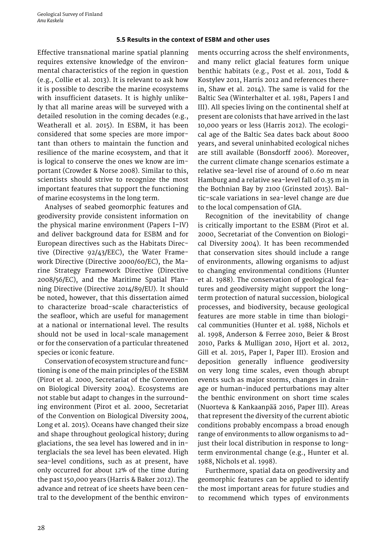#### **5.5 Results in the context of ESBM and other uses**

<span id="page-28-0"></span>Effective transnational marine spatial planning requires extensive knowledge of the environmental characteristics of the region in question (e.g., Collie et al. 2013). It is relevant to ask how it is possible to describe the marine ecosystems with insufficient datasets. It is highly unlikely that all marine areas will be surveyed with a detailed resolution in the coming decades (e.g., Weatherall et al. 2015). In ESBM, it has been considered that some species are more important than others to maintain the function and resilience of the marine ecosystem, and that it is logical to conserve the ones we know are important (Crowder & Norse 2008). Similar to this, scientists should strive to recognize the most important features that support the functioning of marine ecosystems in the long term.

Analyses of seabed geomorphic features and geodiversity provide consistent information on the physical marine environment (Papers I–IV) and deliver background data for ESBM and for European directives such as the Habitats Directive (Directive 92/43/EEC), the Water Framework Directive (Directive 2000/60/EC), the Marine Strategy Framework Directive (Directive 2008/56/EC), and the Maritime Spatial Planning Directive (Directive 2014/89/EU). It should be noted, however, that this dissertation aimed to characterize broad-scale characteristics of the seafloor, which are useful for management at a national or international level. The results should not be used in local-scale management or for the conservation of a particular threatened species or iconic feature.

Conservation of ecosystem structure and functioning is one of the main principles of the ESBM (Pirot et al. 2000, Secretariat of the Convention on Biological Diversity 2004). Ecosystems are not stable but adapt to changes in the surrounding environment (Pirot et al. 2000, Secretariat of the Convention on Biological Diversity 2004, Long et al. 2015). Oceans have changed their size and shape throughout geological history; during glaciations, the sea level has lowered and in interglacials the sea level has been elevated. High sea-level conditions, such as at present, have only occurred for about 12% of the time during the past 150,000 years (Harris & Baker 2012). The advance and retreat of ice sheets have been central to the development of the benthic environ-

ments occurring across the shelf environments, and many relict glacial features form unique benthic habitats (e.g., Post et al. 2011, Todd & Kostylev 2011, Harris 2012 and references therein, Shaw et al. 2014). The same is valid for the Baltic Sea (Winterhalter et al. 1981, Papers I and III). All species living on the continental shelf at present are colonists that have arrived in the last 10,000 years or less (Harris 2012). The ecological age of the Baltic Sea dates back about 8000 years, and several uninhabited ecological niches are still available (Bonsdorff 2006). Moreover, the current climate change scenarios estimate a relative sea-level rise of around of 0.60 m near Hamburg and a relative sea-level fall of 0.35 m in the Bothnian Bay by 2100 (Grinsted 2015). Baltic-scale variations in sea-level change are due to the local compensation of GIA.

Recognition of the inevitability of change is critically important to the ESBM (Pirot et al. 2000, Secretariat of the Convention on Biological Diversity 2004). It has been recommended that conservation sites should include a range of environments, allowing organisms to adjust to changing environmental conditions (Hunter et al. 1988). The conservation of geological features and geodiversity might support the longterm protection of natural succession, biological processes, and biodiversity, because geological features are more stable in time than biological communities (Hunter et al. 1988, Nichols et al. 1998, Anderson & Ferree 2010, Beier & Brost 2010, Parks & Mulligan 2010, Hjort et al. 2012, Gill et al. 2015, Paper I, Paper III). Erosion and deposition generally influence geodiversity on very long time scales, even though abrupt events such as major storms, changes in drainage or human-induced perturbations may alter the benthic environment on short time scales (Nuorteva & Kankaanpää 2016, Paper III). Areas that represent the diversity of the current abiotic conditions probably encompass a broad enough range of environments to allow organisms to adjust their local distribution in response to longterm environmental change (e.g., Hunter et al. 1988, Nichols et al. 1998).

Furthermore, spatial data on geodiversity and geomorphic features can be applied to identify the most important areas for future studies and to recommend which types of environments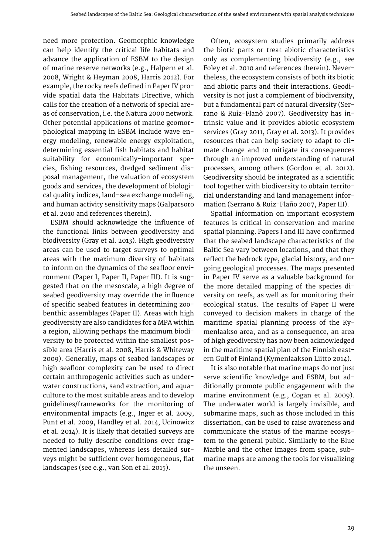need more protection. Geomorphic knowledge can help identify the critical life habitats and advance the application of ESBM to the design of marine reserve networks (e.g., Halpern et al. 2008, Wright & Heyman 2008, Harris 2012). For example, the rocky reefs defined in Paper IV provide spatial data the Habitats Directive, which calls for the creation of a network of special areas of conservation, i.e. the Natura 2000 network. Other potential applications of marine geomorphological mapping in ESBM include wave energy modeling, renewable energy exploitation, determining essential fish habitats and habitat suitability for economically-important species, fishing resources, dredged sediment disposal management, the valuation of ecosystem goods and services, the development of biological quality indices, land–sea exchange modeling, and human activity sensitivity maps (Galparsoro et al. 2010 and references therein).

ESBM should acknowledge the influence of the functional links between geodiversity and biodiversity (Gray et al. 2013). High geodiversity areas can be used to target surveys to optimal areas with the maximum diversity of habitats to inform on the dynamics of the seafloor environment (Paper I, Paper II, Paper III). It is suggested that on the mesoscale, a high degree of seabed geodiversity may override the influence of specific seabed features in determining zoobenthic assemblages (Paper II). Areas with high geodiversity are also candidates for a MPA within a region, allowing perhaps the maximum biodiversity to be protected within the smallest possible area (Harris et al. 2008, Harris & Whiteway 2009). Generally, maps of seabed landscapes or high seafloor complexity can be used to direct certain anthropogenic activities such as underwater constructions, sand extraction, and aquaculture to the most suitable areas and to develop guidelines/frameworks for the monitoring of environmental impacts (e.g., Inger et al. 2009, Punt et al. 2009, Handley et al. 2014, Ucinowicz et al. 2014). It is likely that detailed surveys are needed to fully describe conditions over fragmented landscapes, whereas less detailed surveys might be sufficient over homogeneous, flat landscapes (see e.g., van Son et al. 2015).

Often, ecosystem studies primarily address the biotic parts or treat abiotic characteristics only as complementing biodiversity (e.g., see Foley et al. 2010 and references therein). Nevertheless, the ecosystem consists of both its biotic and abiotic parts and their interactions. Geodiversity is not just a complement of biodiversity, but a fundamental part of natural diversity (Serrano & Ruiz-Flanõ 2007). Geodiversity has intrinsic value and it provides abiotic ecosystem services (Gray 2011, Gray et al. 2013). It provides resources that can help society to adapt to climate change and to mitigate its consequences through an improved understanding of natural processes, among others (Gordon et al. 2012). Geodiversity should be integrated as a scientific tool together with biodiversity to obtain territorial understanding and land management information (Serrano & Ruiz-Flaño 2007, Paper III).

Spatial information on important ecosystem features is critical in conservation and marine spatial planning. Papers I and III have confirmed that the seabed landscape characteristics of the Baltic Sea vary between locations, and that they reflect the bedrock type, glacial history, and ongoing geological processes. The maps presented in Paper IV serve as a valuable background for the more detailed mapping of the species diversity on reefs, as well as for monitoring their ecological status. The results of Paper II were conveyed to decision makers in charge of the maritime spatial planning process of the Kymenlaakso area, and as a consequence, an area of high geodiversity has now been acknowledged in the maritime spatial plan of the Finnish eastern Gulf of Finland (Kymenlaakson Liitto 2014).

It is also notable that marine maps do not just serve scientific knowledge and ESBM, but additionally promote public engagement with the marine environment (e.g., Cogan et al. 2009). The underwater world is largely invisible, and submarine maps, such as those included in this dissertation, can be used to raise awareness and communicate the status of the marine ecosystem to the general public. Similarly to the Blue Marble and the other images from space, submarine maps are among the tools for visualizing the unseen.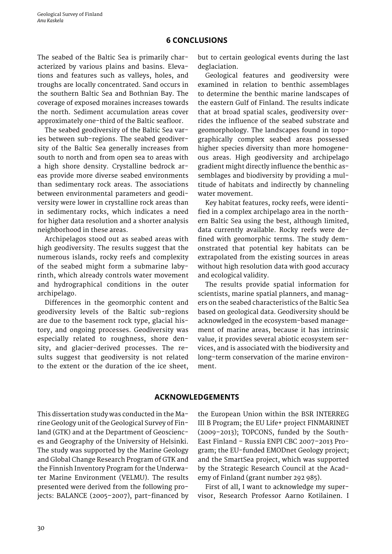# **6 CONCLUSIONS**

<span id="page-30-0"></span>The seabed of the Baltic Sea is primarily characterized by various plains and basins. Elevations and features such as valleys, holes, and troughs are locally concentrated. Sand occurs in the southern Baltic Sea and Bothnian Bay. The coverage of exposed moraines increases towards the north. Sediment accumulation areas cover approximately one-third of the Baltic seafloor.

The seabed geodiversity of the Baltic Sea varies between sub-regions. The seabed geodiversity of the Baltic Sea generally increases from south to north and from open sea to areas with a high shore density. Crystalline bedrock areas provide more diverse seabed environments than sedimentary rock areas. The associations between environmental parameters and geodiversity were lower in crystalline rock areas than in sedimentary rocks, which indicates a need for higher data resolution and a shorter analysis neighborhood in these areas.

Archipelagos stood out as seabed areas with high geodiversity. The results suggest that the numerous islands, rocky reefs and complexity of the seabed might form a submarine labyrinth, which already controls water movement and hydrographical conditions in the outer archipelago.

Differences in the geomorphic content and geodiversity levels of the Baltic sub-regions are due to the basement rock type, glacial history, and ongoing processes. Geodiversity was especially related to roughness, shore density, and glacier-derived processes. The results suggest that geodiversity is not related to the extent or the duration of the ice sheet,

but to certain geological events during the last deglaciation.

Geological features and geodiversity were examined in relation to benthic assemblages to determine the benthic marine landscapes of the eastern Gulf of Finland. The results indicate that at broad spatial scales, geodiversity overrides the influence of the seabed substrate and geomorphology. The landscapes found in topographically complex seabed areas possessed higher species diversity than more homogeneous areas. High geodiversity and archipelago gradient might directly influence the benthic assemblages and biodiversity by providing a multitude of habitats and indirectly by channeling water movement.

Key habitat features, rocky reefs, were identified in a complex archipelago area in the northern Baltic Sea using the best, although limited, data currently available. Rocky reefs were defined with geomorphic terms. The study demonstrated that potential key habitats can be extrapolated from the existing sources in areas without high resolution data with good accuracy and ecological validity.

The results provide spatial information for scientists, marine spatial planners, and managers on the seabed characteristics of the Baltic Sea based on geological data. Geodiversity should be acknowledged in the ecosystem-based management of marine areas, because it has intrinsic value, it provides several abiotic ecosystem services, and is associated with the biodiversity and long-term conservation of the marine environment.

# **ACKNOWLEDGEMENTS**

This dissertation study was conducted in the Marine Geology unit of the Geological Survey of Finland (GTK) and at the Department of Geosciences and Geography of the University of Helsinki. The study was supported by the Marine Geology and Global Change Research Program of GTK and the Finnish Inventory Program for the Underwater Marine Environment (VELMU). The results presented were derived from the following projects: BALANCE (2005–2007), part-financed by

the European Union within the BSR INTERREG III B Program; the EU Life+ project FINMARINET (2009–2013); TOPCONS, funded by the South-East Finland – Russia ENPI CBC 2007–2013 Program; the EU-funded EMODnet Geology project; and the SmartSea project, which was supported by the Strategic Research Council at the Academy of Finland (grant number 292 985).

First of all, I want to acknowledge my supervisor, Research Professor Aarno Kotilainen. I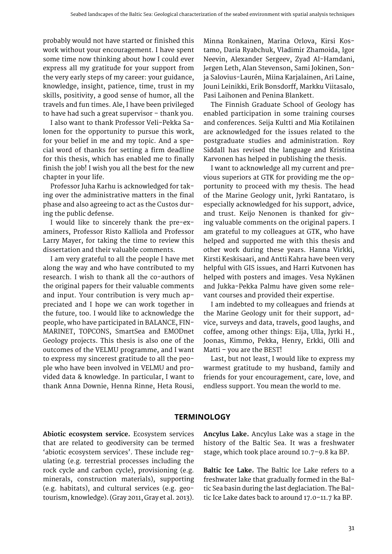<span id="page-31-0"></span>probably would not have started or finished this work without your encouragement. I have spent some time now thinking about how I could ever express all my gratitude for your support from the very early steps of my career: your guidance, knowledge, insight, patience, time, trust in my skills, positivity, a good sense of humor, all the travels and fun times. Ale, I have been privileged to have had such a great supervisor – thank you.

I also want to thank Professor Veli-Pekka Salonen for the opportunity to pursue this work, for your belief in me and my topic. And a special word of thanks for setting a firm deadline for this thesis, which has enabled me to finally finish the job! I wish you all the best for the new chapter in your life.

Professor Juha Karhu is acknowledged for taking over the administrative matters in the final phase and also agreeing to act as the Custos during the public defense.

I would like to sincerely thank the pre-examiners, Professor Risto Kalliola and Professor Larry Mayer, for taking the time to review this dissertation and their valuable comments.

I am very grateful to all the people I have met along the way and who have contributed to my research. I wish to thank all the co-authors of the original papers for their valuable comments and input. Your contribution is very much appreciated and I hope we can work together in the future, too. I would like to acknowledge the people, who have participated in BALANCE, FIN-MARINET, TOPCONS, SmartSea and EMODnet Geology projects. This thesis is also one of the outcomes of the VELMU programme, and I want to express my sincerest gratitude to all the people who have been involved in VELMU and provided data & knowledge. In particular, I want to thank Anna Downie, Henna Rinne, Heta Rousi,

Minna Ronkainen, Marina Orlova, Kirsi Kostamo, Daria Ryabchuk, Vladimir Zhamoida, Igor Neevin, Alexander Sergeev, Zyad Al-Hamdani, Jørgen Leth, Alan Stevenson, Sami Jokinen, Sonja Salovius-Laurén, Miina Karjalainen, Ari Laine, Jouni Leinikki, Erik Bonsdorff, Markku Viitasalo, Pasi Laihonen and Penina Blankett.

The Finnish Graduate School of Geology has enabled participation in some training courses and conferences. Seija Kultti and Mia Kotilainen are acknowledged for the issues related to the postgraduate studies and administration. Roy Siddall has revised the language and Kristina Karvonen has helped in publishing the thesis.

I want to acknowledge all my current and previous superiors at GTK for providing me the opportunity to proceed with my thesis. The head of the Marine Geology unit, Jyrki Rantataro, is especially acknowledged for his support, advice, and trust. Keijo Nenonen is thanked for giving valuable comments on the original papers. I am grateful to my colleagues at GTK, who have helped and supported me with this thesis and other work during these years. Hanna Virkki, Kirsti Keskisaari, and Antti Kahra have been very helpful with GIS issues, and Harri Kutvonen has helped with posters and images. Vesa Nykänen and Jukka-Pekka Palmu have given some relevant courses and provided their expertise.

I am indebted to my colleagues and friends at the Marine Geology unit for their support, advice, surveys and data, travels, good laughs, and coffee, among other things: Eija, Ulla, Jyrki H., Joonas, Kimmo, Pekka, Henry, Erkki, Olli and Matti – you are the BEST!

Last, but not least, I would like to express my warmest gratitude to my husband, family and friends for your encouragement, care, love, and endless support. You mean the world to me.

# **TERMINOLOGY**

**Abiotic ecosystem service.** Ecosystem services that are related to geodiversity can be termed 'abiotic ecosystem services'. These include regulating (e.g. terrestrial processes including the rock cycle and carbon cycle), provisioning (e.g. minerals, construction materials), supporting (e.g. habitats), and cultural services (e.g. geotourism, knowledge). (Gray 2011, Gray et al. 2013). **Ancylus Lake.** Ancylus Lake was a stage in the history of the Baltic Sea. It was a freshwater stage, which took place around 10.7–9.8 ka BP.

**Baltic Ice Lake.** The Baltic Ice Lake refers to a freshwater lake that gradually formed in the [Bal](https://en.wikipedia.org/wiki/Baltic_Sea)[tic Sea](https://en.wikipedia.org/wiki/Baltic_Sea) basin during the last deglaciation. The Baltic Ice Lake dates back to around 17.0–11.7 ka BP.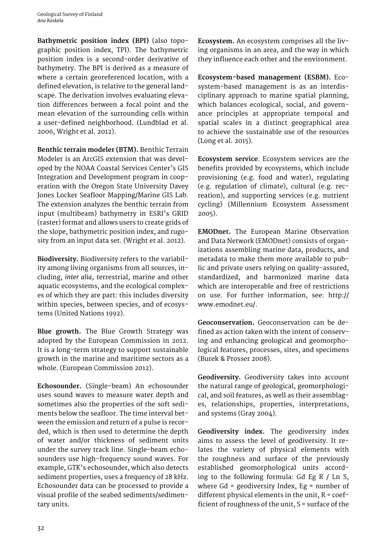**Bathymetric position index (BPI)** (also topographic position index, TPI). The bathymetric position index is a second-order derivative of bathymetry. The BPI is derived as a measure of where a certain georeferenced location, with a defined elevation, is relative to the general landscape. The derivation involves evaluating elevation differences between a focal point and the mean elevation of the surrounding cells within a user-defined neighborhood. (Lundblad et al. 2006, Wright et al. 2012).

**Benthic terrain modeler (BTM).** Benthic Terrain Modeler is an ArcGIS extension that was developed by the NOAA Coastal Services Center's GIS Integration and Development program in cooperation with the Oregon State University Davey Jones Locker Seafloor Mapping/Marine GIS Lab. The extension analyzes the benthic terrain from input (multibeam) bathymetry in ESRI's GRID (raster) format and allows users to create grids of the slope, bathymetric position index, and rugosity from an input data set. (Wright et al. 2012).

**Biodiversity.** Biodiversity refers to the variability among living organisms from all sources, including, *inter alia*, [terrestrial,](https://en.wikipedia.org/wiki/Terrestrial_ecoregion) [marine](https://en.wikipedia.org/wiki/Marine_%28ocean%29) and other [aquatic ecosystems,](https://en.wikipedia.org/wiki/Marine_biology) and the ecological complexes of which they are part: this includes diversity within species, between species, and of ecosystems (United Nations 1992).

**Blue growth.** The Blue Growth Strategy was adopted by the European Commission in 2012. It is a long-term strategy to support sustainable growth in the marine and maritime sectors as a whole. (European Commission 2012).

**Echosounder.** (Single-beam) An echosounder uses sound waves to measure water depth and sometimes also the properties of the soft sediments below the seafloor. The time interval between the emission and return of a pulse is recorded, which is then used to determine the depth of water and/or thickness of sediment units under the survey track line. Single-beam echosounders use high-frequency sound waves. For example, GTK's echosounder, which also detects sediment properties, uses a frequency of 28 kHz. Echosounder data can be processed to provide a visual profile of the seabed sediments/sedimentary units.

**Ecosystem.** An ecosystem comprises all the [liv](http://dictionary.cambridge.org/dictionary/english/living)[ing](http://dictionary.cambridge.org/dictionary/english/living) organisms in an [area](http://dictionary.cambridge.org/dictionary/english/area), and the way in which they influence each other and the [environment.](http://dictionary.cambridge.org/dictionary/english/environment)

**Ecosystem-based management (ESBM).** Ecosystem-based management is as an interdisciplinary approach to marine spatial planning, which balances ecological, social, and governance principles at appropriate temporal and spatial scales in a distinct geographical area to achieve the sustainable use of the resources (Long et al. 2015).

**Ecosystem service**. Ecosystem services are the benefits provided by ecosystems, which include provisioning (e.g. food and water), regulating (e.g. regulation of climate), cultural (e.g. recreation), and supporting services (e.g. nutrient cycling) (Millennium Ecosystem Assessment 2005).

**EMODnet.** The European Marine Observation and Data Network (EMODnet) consists of organizations assembling marine data, products, and metadata to make them more available to public and private users relying on quality-assured, standardized, and harmonized marine data which are interoperable and free of restrictions on use. For further information, see: http:// www.emodnet.eu/.

**Geoconservation.** Geoconservation can be defined as action taken with the intent of conserving and enhancing geological and geomorphological features, processes, sites, and specimens (Burek & Prosser 2008).

**Geodiversity.** Geodiversity takes into account the natural range of geological, geomorphological, and soil features, as well as their assemblages, relationships, properties, interpretations, and systems (Gray 2004).

**Geodiversity index.** The geodiversity index aims to assess the level of geodiversity. It relates the variety of physical elements with the roughness and surface of the previously established geomorphological units according to the following formula: Gd Eg R / Ln S, where Gd = geodiversity Index, Eg = number of different physical elements in the unit,  $R = \text{coef}$ ficient of roughness of the unit, S = surface of the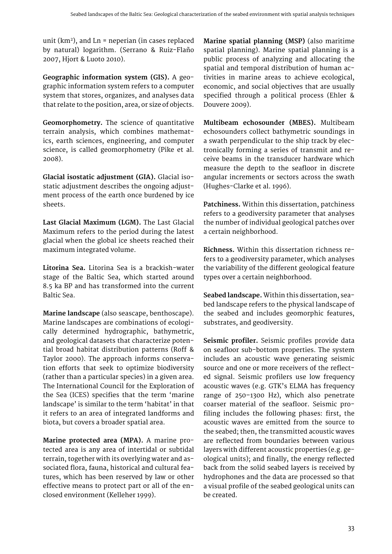unit ( $km<sup>2</sup>$ ), and Ln = neperian (in cases replaced by natural) logarithm. (Serrano & Ruiz-Flaño 2007, Hjort & Luoto 2010).

**Geographic information system (GIS).** A geographic information system refers to a [computer](http://dictionary.cambridge.org/dictionary/english/computer)  [system](http://dictionary.cambridge.org/dictionary/english/system) that stores, organizes, and analyses data that [relate](http://dictionary.cambridge.org/dictionary/english/relate) to the [position](http://dictionary.cambridge.org/dictionary/english/position), [area,](http://dictionary.cambridge.org/dictionary/english/area) or [size](http://dictionary.cambridge.org/dictionary/english/size) of objects.

**Geomorphometry.** The science of quantitative terrain analysis, which combines mathematics, earth sciences, engineering, and computer science, is called geomorphometry (Pike et al. 2008).

**Glacial isostatic adjustment (GIA).** Glacial isostatic adjustment describes the ongoing adjustment process of the earth once burdened by ice sheets.

**Last Glacial Maximum (LGM).** The Last Glacial Maximum refers to the period during the latest glacial when the global ice sheets reached their maximum integrated volume.

**Litorina Sea.** Litorina Sea is a brackish-water stage of the Baltic Sea, which started around 8.5 ka BP and has transformed into the current Baltic Sea.

**Marine landscape** (also seascape, benthoscape). Marine landscapes are combinations of ecologically determined hydrographic, bathymetric, and geological datasets that characterize potential broad habitat distribution patterns (Roff & Taylor 2000). The approach informs conservation efforts that seek to optimize biodiversity (rather than a particular species) in a given area. The International Council for the Exploration of the Sea (ICES) specifies that the term 'marine landscape' is similar to the term 'habitat' in that it refers to an area of integrated landforms and biota, but covers a broader spatial area.

**Marine protected area (MPA).** A marine protected area is any area of intertidal or subtidal terrain, together with its overlying water and associated flora, fauna, historical and cultural features, which has been reserved by law or other effective means to protect part or all of the enclosed environment (Kelleher 1999).

**Marine spatial planning (MSP)** (also maritime spatial planning). Marine spatial planning is a public process of analyzing and allocating the spatial and temporal distribution of human activities in marine areas to achieve ecological, economic, and social objectives that are usually specified through a political process (Ehler & Douvere 2009).

**Multibeam echosounder (MBES).** Multibeam echosounders collect bathymetric soundings in a swath perpendicular to the ship track by electronically forming a series of transmit and receive beams in the transducer hardware which measure the depth to the seafloor in discrete angular increments or sectors across the swath (Hughes-Clarke et al. 1996).

**Patchiness.** Within this dissertation, patchiness refers to a geodiversity parameter that analyses the number of individual geological patches over a certain neighborhood.

**Richness.** Within this dissertation richness refers to a geodiversity parameter, which analyses the variability of the different geological feature types over a certain neighborhood.

**Seabed landscape.** Within this dissertation, seabed landscape refers to the physical landscape of the seabed and includes geomorphic features, substrates, and geodiversity.

**Seismic profiler.** Seismic profiles provide data on seafloor sub-bottom properties. The system includes an acoustic wave generating seismic source and one or more receivers of the reflected signal. Seismic profilers use low frequency acoustic waves (e.g. GTK's ELMA has frequency range of 250–1300 Hz), which also penetrate coarser material of the seafloor. Seismic profiling includes the following phases: first, the acoustic waves are emitted from the source to the seabed; then, the transmitted acoustic waves are reflected from boundaries between various layers with different acoustic properties (e.g. geological units); and finally, the energy reflected back from the solid seabed layers is received by hydrophones and the data are processed so that a visual profile of the seabed geological units can be created.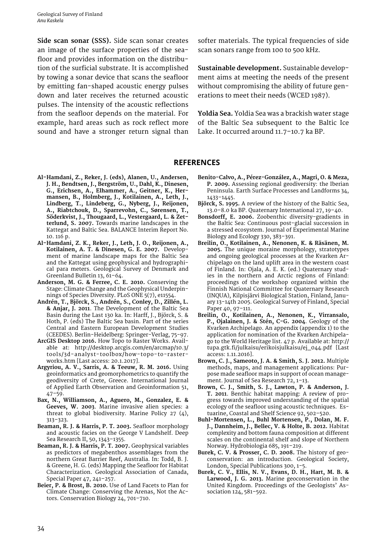<span id="page-34-0"></span>**Side scan sonar (SSS).** Side scan sonar creates an image of the surface properties of the seafloor and provides information on the distribution of the surficial substrate. It is accomplished by towing a sonar device that scans the seafloor by emitting fan-shaped acoustic energy pulses down and later receives the returned acoustic pulses. The intensity of the [acoustic](https://en.wikipedia.org/wiki/Acoustics) reflections from the seafloor depends on the material. For example, hard areas such as rock reflect more sound and have a stronger return signal than

softer materials. The typical frequencies of side scan sonars range from 100 to 500 [kHz](https://en.wikipedia.org/wiki/Kilohertz).

**Sustainable development.** Sustainable development aims at meeting the needs of the present without compromising the ability of future generations to meet their needs (WCED 1987).

**Yoldia Sea.** Yoldia Sea was a brackish water stage of the Baltic Sea subsequent to the Baltic Ice Lake. It occurred around 11.7–10.7 ka BP.

#### **REFERENCES**

- **Al-Hamdani, Z., Reker, J. (eds), Alanen, U., Andersen, J. H., Bendtsen, J., Bergström, U., Dahl, K., Dinesen, G., Erichsen, A., Elhammer, A., Geitner, K., Hermansen, B., Holmberg, J., Kotilainen, A., Leth, J., Lindberg, T., Lindeberg, G., Nyberg, J., Reijonen, A., Riabtchouk, D., Sparrevohn, C., Sørensen, T., Söderkvist, J., Thougaard, L., Vestergaard, L. & Zetterlund, S. 2007.** Towards marine landscapes in the Kattegat and Baltic Sea. BALANCE Interim Report No. 10. 116 p.
- **Al-Hamdani, Z. K., Reker, J., Leth, J. O., Reijonen, A., Kotilainen, A. T. & Dinesen, G. E. 2007.** Development of marine landscape maps for the Baltic Sea and the Kattegat using geophysical and hydrographical para meters. Geological Survey of Denmark and Greenland Bulletin 13, 61–64.
- **Anderson, M. G. & Ferree, C. E. 2010.** Conserving the Stage: Climate Change and the Geophysical Underpinnings of Species Diversity. PLoS ONE 5(7), e11554.
- **Andrén, T., Björck, S., Andrén, S., Conley, D., Zillén, L. & Anjar, J. 2011**. The Development of the Baltic Sea Basin during the Last 130 ka. In: Harff, J., Björck, S. & Hoth, P. (eds) The Baltic Sea basin. Part of the series Central and Eastern European Development Studies (CEEDES). Berlin-Heidelberg: Springer-Verlag, 75-97.
- **ArcGIS Desktop 2016.** How Topo to Raster Works. Available at: [http://desktop.arcgis.com/en/arcmap/10.3/](http://desktop.arcgis.com/en/arcmap/10.3/tools/3d-analyst-toolbox/how-topo-to-raster-works.htm) [tools/3d-analyst-toolbox/how-topo-to-raster](http://desktop.arcgis.com/en/arcmap/10.3/tools/3d-analyst-toolbox/how-topo-to-raster-works.htm)[works.htm \[](http://desktop.arcgis.com/en/arcmap/10.3/tools/3d-analyst-toolbox/how-topo-to-raster-works.htm)Last access: 20.1.2017].
- **Argyriou, A. V., Sarris, A. & Teeuw, R. M. 2016.** Using geoinformatics and geomorphometrics to quantify the geodiversity of Crete, Greece. International Journal of Applied Earth Observation and Geoinformation 51, 47–59.
- **Bax, N., Williamson, A., Aguero, M., Gonzalez, E. & Geeves, W. 2003**. Marine invasive alien species: a threat to global biodiversity. Marine Policy 27 (4), 313–323.
- **Beaman, R. J. & Harris, P. T. 2003.** Seafloor morphology and acoustic facies on the George V Landshelf. Deep Sea Research II, 50, 1343–1355.
- **Beaman, R. J. & Harris, P. T. 2007.** Geophysical variables as predictors of megabenthos assemblages from the northern Great Barrier Reef, Australia. In: Todd, B. J. & Greene, H. G. (eds) Mapping the Seafloor for Habitat Characterization. Geological Association of Canada, Special Paper 47, 241–257.
- **Beier, P. & Brost, B. 2010.** Use of Land Facets to Plan for Climate Change: Conserving the Arenas, Not the Actors. Conservation Biology 24, 701–710.
- **Benito-Calvo, A., Pérez-González, A., Magri, O. & Meza, P. 2009.** Assessing regional geodiversity: the Iberian Peninsula. Earth Surface Processes and Landforms 34, 1433–1445.
- **Björck, S. 1995.** A review of the history of the Baltic Sea, 13.0–8.0 ka BP. Quaternary International 27, 19–40.
- **Bonsdorff, E. 2006.** Zoobenthic diversity-gradients in the Baltic Sea: Continuous post-glacial succession in a stressed ecosystem. Journal of Experimental Marine Biology and Ecology 330, 383–391.
- **Breilin, O., Kotilainen, A., Nenonen, K. & Räsänen, M. 2005.** The unique moraine morphology, stratotypes and ongoing geological processes at the Kvarken Archipelago on the land uplift area in the western coast of Finland. In: Ojala, A. E. K. (ed.) Quaternary studies in the northern and Arctic regions of Finland: proceedings of the workshop organized within the Finnish National Committee for Quaternary Research (INQUA), Kilpisjärvi Biological Station, Finland, January 13-14th 2005. Geological Survey of Finland, Special Paper 40, 97–111.
- **Breilin, O., Kotilainen, A., Nenonen, K., Virransalo, P., Ojalainen, J. & Stén, C-G. 2004**. Geology of the Kvarken Archipelago. An appendix (appendix 1) to the application for nomination of the Kvarken Archipelago to the World Heritage list. 47 p. Available at: http:// tupa.gtk.fi/julkaisu/erikoisjulkaisu/ej\_044.pdf [Last access: 1.11.2016].
- **Brown, C. J., Sameoto, J. A. & Smith, S. J. 2012.** Multiple methods, maps, and management applications: Purpose made seafloor maps in support of ocean management. Journal of Sea Research 72, 1-13.
- **Brown, C. J., Smith, S. J., Lawton, P. & Anderson, J. T. 2011**. Benthic habitat mapping: A review of progress towards improved understanding of the spatial ecology of the seafloor using acoustic techniques. Estuarine, Coastal and Shelf Science 92, 502–520.
- **Buhl-Mortensen, L., Buhl Mortensen, P., Dolan, M. F. J., Dannheim, J., Bellec, V. & Holte, B. 2012.** Habitat complexity and bottom fauna composition at different scales on the continental shelf and slope of Northern Norway. Hydrobiologia 685, 191–219.
- **Burek, C. V. & Prosser, C. D. 2008.** The history of geoconservation: an introduction. Geological Society, London, Special Publications 300, 1-5.
- **Burek, C. V., Ellis, N. V., Evans, D. H., Hart, M. B. & Larwood, J. G. 2013.** Marine geoconservation in the United Kingdom. Proceedings of the Geologists' Association 124, 581–592.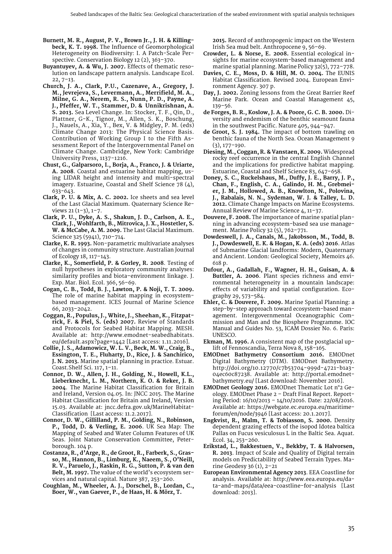- **Burnett, M. R., August, P. V., Brown Jr., J. H. & Killingbeck, K. T. 1998.** The Influence of Geomorphological Heterogeneity on Biodiversity: I. A Patch-Scale Perspective. Conservation Biology 12 (2), 363–370.
- **Buyantuyev, A. & Wu, J. 2007.** Effects of thematic resolution on landscape pattern analysis. Landscape Ecol.  $22.7 - 13.$
- **Church, J. A., Clark, P.U., Cazenave, A., Gregory, J. M., Jevrejeva, S., Levermann, A., Merrifield, M. A., Milne, G. A., Nerem, R. S., Nunn, P. D., Payne, A. J., Pfeffer, W. T., Stammer, D. & Unnikrishnan, A. S. 2013.** Sea Level Change. In: Stocker, T. F., Qin, D., Plattner, G-K., Tignor, M., Allen, S. K., Boschung, J., Nauels, A., Xia, Y., Bex, V. & Midgley, P. M. (eds) Climate Change 2013: The Physical Science Basis. Contribution of Working Group I to the Fifth Assessment Report of the Intergovernmental Panel on Climate Change. Cambridge, New York: Cambridge University Press, 1137-1216.
- **Chust, G., Galparsoro, I., Borja, A., Franco, J. & Uriarte, A. 2008**. Coastal and estuarine habitat mapping, using LIDAR height and intensity and multi-spectral imagery. Estuarine, Coastal and Shelf Science 78 (4), 633-643.
- **Clark, P. U. & Mix, A. C. 2002.** Ice sheets and sea level of the Last Glacial Maximum. Quaternary Science Reviews 21 (1–3), 1–7.
- **Clark, P. U., Dyke, A. S., Shakun, J. D., Carlson, A. E., Clark, J., Wohlfarth, B., Mitrovica, J. X., Hostetler, S. W. & McCabe, A. M. 2009.** The Last Glacial Maximum. Science 325 (5941), 710–714.
- **Clarke, K. R. 1993.** Non-parametric multivariate analyses of changes in community structure. Australian Journal of Ecology 18, 117–143.
- **Clarke, K., Somerfield, P. & Gorley, R. 2008**. Testing of null hypotheses in exploratory community analyses: similarity profiles and biota–environment linkage. J. Exp. Mar. Biol. Ecol. 366, 56–69.
- **Cogan, C. B., Todd, B. J., Lawton, P. & Noji, T. T. 2009.** The role of marine habitat mapping in ecosystembased management. ICES Journal of Marine Science 66, 2033–2042.
- **Coggan, R., Populus, J., White, J., Sheehan, K., Fitzpatrick, F. & Piel, S. (eds) 2007.** Review of Standards and Protocols for Seabed Habitat Mapping. MESH. Available at: [http://www.emodnet-seabedhabitats.](http://www.emodnet-seabedhabitats.eu/default.aspx?page=1442) [eu/default.aspx?page=1442 \[](http://www.emodnet-seabedhabitats.eu/default.aspx?page=1442)Last access: 1.11.2016].
- **Collie, J. S., Adamowicz, W. L. V., Beck, M. W., Craig, B., Essington, T. E., Fluharty, D., Rice, J. & Sanchirico, J. N. 2013.** Marine spatial planning in practice. Estuar. Coast.Shelf Sci. 117, 1–11.
- **Connor, D. W., Allen, J. H., Golding, N., Howell, K.L., Lieberknecht, L. M., Northern, K. O. & Reker, J. B. 2004**. The Marine Habitat Classification for Britain and Ireland, Version 04.05. In: JNCC 2015. The Marine Habitat Classification for Britain and Ireland, Version 15.03. Available at: [jncc.defra.gov.uk/MarineHabitat-](jncc.defra.gov.uk/MarineHabitatClassification)[Classification](jncc.defra.gov.uk/MarineHabitatClassification) [Last access: 11.2.2017].
- **Connor, D. W., Gillilland, P. M., Golding, N., Robinson, P., Todd, D. & Verling, E. 2006**. UK Sea Map: The Mapping of Seabed and Water Column Features of UK Seas. Joint Nature Conservation Committee, Peterborough. 104 p.
- **Costanza, R., d'Arge, R., de Groot, R., Farberk, S., Grasso, M., Hannon, B., Limburg, K., Naeem, S., O'Neill, R. V., Paruelo, J., Raskin, R. G., Sutton, P. & van den Belt, M. 1997.** The value of the world's ecosystem services and natural capital. Nature 387, 253–260.
- **Coughlan, M., Wheeler, A. J., Dorschel, B., Lordan, C., Boer, W., van Gaever, P., de Haas, H. & Mörz, T.**

**2015.** Record of anthropogenic impact on the Western Irish Sea mud belt. Anthropocene 9, 56–69.

- **Crowder, L. & Norse, E. 2008.** Essential ecological insights for marine ecosystem-based management and marine spatial planning. Marine Policy 32(5), 772–778.
- **Davies, C. E., Moss, D. & Hill, M. O. 2004.** The EUNIS Habitat Classification. Revised 2004. European Environment Agency. 307 p.
- **Day, J. 2002.** Zoning lessons from the Great Barrier Reef Marine Park. Ocean and Coastal Management 45, 139–56.
- **de Forges, B. R., Koslow, J. A. & Poore, G. C. B. 2000.** Diversity and endemism of the benthic seamount fauna in the southwest Pacific. Nature 405, 944–947.
- **de Groot, S. J. 1984.** The impact of bottom trawling on benthic fauna of the North Sea. Ocean Management 9 (3), 177–190.
- **Diesing, M., Coggan, R. & Vanstaen, K. 2009.** Widespread rocky reef occurrence in the central English Channel and the implications for predictive habitat mapping. Estuarine, Coastal and Shelf Science 83, 647–658.
- **Doney, S. C., Ruckelshaus, M., Duffy, J. E., Barry, J. P., Chan, F., English, C. A., Galindo, H. M., Grebmeier, J. M., Hollowed, A. B., Knowlton, N., Polovina, J., Rabalais, N. N., Sydeman, W. J. & Talley, L. D. 2012.** Climate Change Impacts on Marine Ecosystems. Annual Review of Marine Science 4, 11–37.
- **Douvere, F. 2008.** The importance of marine spatial planning in advancing ecosystem-based sea use management. Marine Policy 32 (5), 762–771.
- **Dowdeswell, J. A., Canals, M., Jakobsson, M., Todd, B. J., Dowdeswell, E. K. & Hogan, K. A. (eds) 2016**. Atlas of Submarine Glacial landforms: Modern, Quaternary and Ancient. London: Geological Society, Memoirs 46. 618 p.
- **Dufour, A., Gadallah, F., Wagner, H. H., Guisan, A. & Buttler, A. 2006**. Plant species richness and environmental heterogeneity in a mountain landscape: effects of variability and spatial configuration. Ecography 29, 573–584.
- **Ehler, C. & Douvere, F. 2009.** Marine Spatial Planning: a step-by-step approach toward ecosystem-based management. Intergovernmental Oceanographic Commission and Man and the Biosphere Programme. IOC Manual and Guides No. 53, ICAM Dossier No. 6. Paris: UNESCO.
- **Ekman, M. 1996.** A consistent map of the postglacial uplift of Fennoscandia, Terra Nova 8, 158–165.
- **EMODnet Bathymetry Consortium 2016.** EMODnet Digital Bathymetry (DTM). EMODnet Bathymetry. http://doi.org/10.12770/c7b53704-999d-4721-b1a3- 04ec60c87238. Available at: http://portal.emodnetbathymetry.eu/ [Last download: November 2016].
- **EMODnet Geology 2016.** EMODnet Thematic Lot n°2 Geology. EMODnet Phase 2 – Draft Final Report. Reporting Period: 16/10/2013 – 14/10/2016. Date: 22/08/2016. Available at: [https://webgate.ec.europa.eu/maritime](https://webgate.ec.europa.eu/maritimeforum/en/node/3946)[forum/en/node/3946 \[](https://webgate.ec.europa.eu/maritimeforum/en/node/3946)Last access: 20.1.2017].
- **Engkvist, R., Malm, T. & Tobiasson, S. 2000.** Density dependent grazing effects of the isopod Idotea baltica Pallas on Fucus vesiculosus L in the Baltic Sea. Aquat. Ecol. 34, 253–260.
- **Erikstad, L., Bakkestuen, V., Bekkby, T. & Halvorsen, R. 2013**. Impact of Scale and Quality of Digital terrain models on Predictability of Seabed Terrain Types. Marine Geodesy 36 (1), 2–21
- **European Environmental Agency 2013**. EEA Coastline for analysis. Available at: [http://www.eea.europa.eu/da](http://www.eea.europa.eu/data-and-maps/data/eea-coastline-for-analysis)[ta-and-maps/data/eea-coastline-for-analysis](http://www.eea.europa.eu/data-and-maps/data/eea-coastline-for-analysis) [Last download: 2013].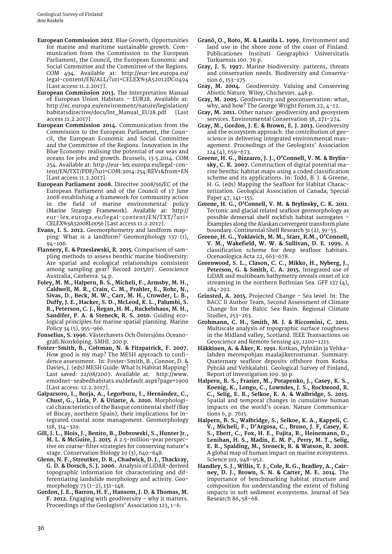- **European Commission 2012**. Blue Growth, Opportunities for marine and maritime sustainable growth. Communication from the Commission to the European Parliament, the Council, the European Economic and Social Committee and the Committee of the Regions. COM 494. Available at: [http://eur-lex.europa.eu/](http://eur-lex.europa.eu/legal-content/EN/ALL/?uri=CELEX%3A52012DC0494) [legal-content/EN/ALL/?uri=CELEX%3A52012DC0494](http://eur-lex.europa.eu/legal-content/EN/ALL/?uri=CELEX%3A52012DC0494)  [Last access 11.2.2017].
- **European Commission 2013.** The Interpretation Manual of European Union Habitats - EUR28. Available at: [http://ec.europa.eu/environment/nature/legislation/](http://ec.europa.eu/environment/nature/legislation/habitatsdirective/docs/Int_Manual_EU28.pdf) [habitatsdirective/docs/Int\\_Manual\\_EU28.pdf](http://ec.europa.eu/environment/nature/legislation/habitatsdirective/docs/Int_Manual_EU28.pdf) [Last access 11.2.2017].
- **European Commission 2014.** Communication from the Commission to the European Parliament, the Council, the European Economic and Social Committee and the Committee of the Regions. Innovation in the Blue Economy: realising the potential of our seas and oceans for jobs and growth. Brussels, 13.5.2014. COM 254. Available at: [http://eur-lex.europa.eu/legal-con](http://eur-lex.europa.eu/legal-content/EN/TXT/PDF/?uri=COM:2014:254:REV1&from=EN)[tent/EN/TXT/PDF/?uri=COM:2014:254:REV1&from=EN](http://eur-lex.europa.eu/legal-content/EN/TXT/PDF/?uri=COM:2014:254:REV1&from=EN) [Last access 11.2.2017].
- **European Parliament 2008.** Directive 2008/56/EC of the European Parliament and of the Council of 17 June 2008 establishing a framework for community action in the field of marine environmental policy (Marine Strategy Framework). Available at: [http://](http:/eur-lex.europa.eu/legal-content/EN/TXT/?uri=CELEX%3A32008L0056) [eur-lex.europa.eu/legal-content/EN/TXT/?uri=](http:/eur-lex.europa.eu/legal-content/EN/TXT/?uri=CELEX%3A32008L0056) [CELEX%3A32008L0056](http:/eur-lex.europa.eu/legal-content/EN/TXT/?uri=CELEX%3A32008L0056) [Last access 11.2.2017].
- **Evans, I. S. 2012.** Geomorphometry and landform mapping: What is a landform? Geomorphology 137 (1),  $94 - 106.$
- **Flannery, E. & Przeslawski, R. 2015**. Comparison of sampling methods to assess benthic marine biodiversity: Are spatial and ecological relationships consistent among sampling gear? Record 2015/07. Geoscience Australia, Canberra. 54 p.
- **Foley, M. M., Halpern, B. S., Micheli, F., Armsby, M. H., Caldwell, M. R., Crain, C. M., Prahler, E., Rohr, N., Sivas, D., Beck, M. W., Carr, M. H., Crowder, L. B., Duffy, J. E., Hacker, S. D., McLeod, K. L., Palumbi, S. R., Peterson, C. J., Regan, H. M., Ruckelshaus, M. H., Sandifer, P. A. & Steneck, R. S. 2010.** Guiding ecological principles for marine spatial planning. Marine Policy 34 (5), 955–966.
- **Fonselius, S. 1996.** Västerhavets Och Östersjöns Oceanografi.Norrköping. SMHI. 200 p.
- **Foster-Smith, B., Coltman, N. & Fitzpatrick, F. 2007.** How good is my map? The MESH approach to confidence assessment. In: Foster-Smith, B., Connor, D. & Davies, J. (eds) MESH Guide: What Is Habitat Mapping? Last saved: 22/08/2007. Available at: [http://www.](http://www.emodnet-seabedhabitats.eu/default.aspx?page=1900) [emodnet-seabedhabitats.eu/default.aspx?page=1900](http://www.emodnet-seabedhabitats.eu/default.aspx?page=1900)  [Last access: 12.2.2017].
- **Galparsoro, I., Borja, A., Legorburu, I., Hernández, C., Chust, G., Liria, P. & Uriarte, A. 2010.** Morphological characteristics of the Basque continental shelf (Bay of Biscay, northern Spain); their implications for integrated coastal zone management. Geomorphology 118, 314–329.
- **Gill, J. L., Blois, J., Benito, B., Dobrowski, S., Hunter Jr., M. L. & McGuire, J. 2015**. A 2.5-million-year perspective on coarse-filter strategies for conserving nature's stage. Conservation Biology 29 (3), 640–648.
- **Glenn, N. F., Streutker, D. R., Chadwick, D. J., Thackray, G. D. & Dorsch, S. J. 2006.** Analysis of LiDAR-derived topographic information for characterizing and differentiating landslide morphology and activity. Geomorphology 73 (1–2), 131–148.
- **Gordon, J. E., Barron, H. F., Hansom, J. D. & Thomas, M. F. 2012.** Engaging with geodiversity – why it matters. Proceedings of the Geologists' Association 123, 1–6.
- **Granö, O., Roto, M. & Laurila L. 1999.** Environment and land use in the shore zone of the coast of Finland. Publicationes Instituti Geographici Universitatis Turkuensis 160. 76 p.
- **Gray, J. S. 1997.** Marine biodiversity: patterns, threats and conservation needs. Biodiversity and Conservation 6, 153–175.
- **Gray, M. 2004.** Geodiversity. Valuing and Conserving Abiotic Nature. Wiley, Chichester. 448 p.
- **Gray, M. 2005.** Geodiversity and geoconservation: what, why, and how? The George Wright Forum 22, 4–12.
- **Gray, M. 2011.** Other nature: geodiversity and geosystem services. Environmental Conservation 38, 271–274.
- **Gray, M., Gordon, J. E. & Brown, E. J. 2013.** Geodiversity and the ecosystem approach: the contribution of geoscience in delivering integrated environmental management. Proceedings of the Geologists' Association 124 (4), 659–673.
- **Greene, H. G., Bizzarro, J. J., O'Connell, V. M. & Brylinsky, C. K. 2007.** Construction of digital potential marine benthic habitat maps using a coded classification scheme and its applications. In: Todd, B. J. & Greene, H. G. (eds) Mapping the Seafloor for Habitat Characterization. Geological Association of Canada, Special Paper 47, 141–155.
- **Greene, H. G., O'Connell, V. M. & Brylinsky, C. K. 2011.** Tectonic and glacial related seafloor geomorphology as possible demersal shelf rockfish habitat surrogates – Examples along the Alaskan convergent transform plate boundary. Continental Shelf Research 31 (2), 39–53.
- **Greene, H. G., Yoklavich, M. M., Starr, R.M., O'Connell, V. M., Wakefield, W. W. & Sullivan, D. E. 1999.** A classification scheme for deep seafloor habitats. Ocenaologica Acta 22, 663–678.
- **Greenwood, S. L., Clason, C. C., Mikko, H., Nyberg, J., Peterson, G. & Smith, C. A. 2015.** Integrated use of LiDAR and multibeam bathymetry reveals onset of ice streaming in the northern Bothnian Sea. GFF 137 (4), 284–292.
- **Grinsted, A. 2015.** Projected Change Sea level. In: The BACC II Author Team, Second Assessment of Climate Change for the Baltic Sea Basin. Regional Climate Studies, 253–263.
- **Grohmann, C. H., Smith, M. J. & Riccomini, C. 2011.** Multiscale analysis of topographic surface roughness in the Midland valley, Scotland. IEEE Transactions on Geoscience and Remote Sensing 49, 1200–1213.
- **Häkkinen, A. & Åker, K. 1991.** Kotkan, Pyhtään ja Vehkalahden merenpohjan maalajikerrostumat. Summary: Quaternary seafloor deposits offshore from Kotka. Pyhtää and Vehkalahti. Geological Survey of Finland, Report of Investigation 109. 30 p.
- **Halpern, B. S., Frazier, M., Potapenko, J., Casey, K. S., Koenig, K., Longo, C., Lowndes, J. S., Rockwood, R. C., Selig, E. R., Selkoe, K. A. & Walbridge, S. 2015.** Spatial and temporal changes in cumulative human impacts on the world's ocean. Nature Communications 6, p. 7615.
- **Halpern, B. S., Walbridge, S., Selkoe, K. A., Kappeli, C. V., Micheli, F., D'Argosa, C., Bruno, J. F, Casey, K. S., Ebert, C., Fox, H. E., Fujita, R., Heinemann, D., Lenihan, H. S., Madin, E. M. P., Perry, M. T., Selig, E. R., Spalding, M., Steneck, R. & Watson, R. 2008.** A global map of human impact on marine ecosystems. Science 319, 948–952.
- **Handley, S. J., Willis, T. J., Cole, R. G., Bradley, A., Cairney, D. J., Brown, S. N. & Carter, M. E. 2014.** The importance of benchmarking habitat structure and composition for understanding the extent of fishing impacts in soft sediment ecosystems. Journal of Sea Research 86, 58–68.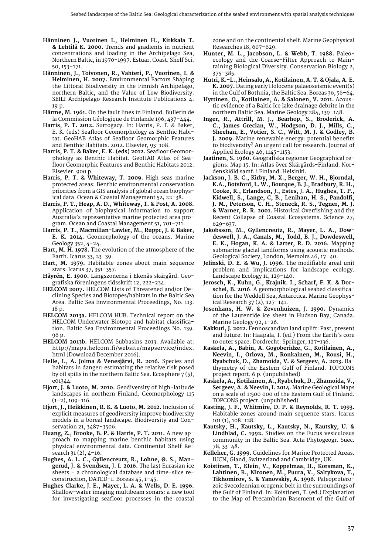- **Hänninen J., Vuorinen I., Helminen H., Kirkkala T. & Lehtilä K. 2000.** Trends and gradients in nutrient concentrations and loading in the Archipelago Sea, Northern Baltic, in 1970-1997. Estuar. Coast. Shelf Sci. 50, 153–171.
- **Hänninen, J., Toivonen, R., Vahteri, P., Vuorinen, I. & Helminen, H. 2007.** Environmental Factors Shaping the Littoral Biodiversity in the Finnish Archipelago, northern Baltic, and the Value of Low Biodiversity. SEILI Archipelago Research Institute Publications 4. 19 p.
- **Härme, M. 1961.** On the fault lines in Finland. Bulletin de la Commission Géologique de Finlande 196, 437–444.
- **Harris, P. T. 2012.** Surrogacy. In: Harris, P. T. & Baker, E. K. (eds) Seafloor Geomorphology as Benthic Habitat. GeoHAB Atlas of Seafloor Geomorphic Features and Benthic Habitats. 2012. Elsevier, 93-108.
- **Harris, P. T. & Baker, E. K. (eds) 2012.** Seafloor Geomorphology as Benthic Habitat. GeoHAB Atlas of Seafloor Geomorphic Features and Benthic Habitats 2012. Elsevier. 900 p.
- **Harris, P. T. & Whiteway, T. 2009.** High seas marine protected areas: Benthic environmental conservation priorities from a GIS analysis of global ocean biophysical data. Ocean & Coastal Management 52, 22–38.
- **Harris, P. T., Heap, A. D., Whiteway, T. & Post, A. 2008.** Application of biophysical information to support Australia's representative marine protected area program. Ocean and Coastal Management 51, 701–711.
- **Harris, P. T., Macmillan-Lawler, M., Ruppc, J. & Baker, E. K. 2014.** Geomorphology of the oceans. Marine Geology 352, 4–24.
- **Hart, M. H. 1978.** The evolution of the atmosphere of the Earth. Icarus 33, 23–39.
- **Hart, M. 1979.** Habitable zones about main sequence stars. Icarus 37, 351–357.
- **Häyrén, E. 1900.** Längszonerna i Ekenäs skärgård. Geografiska föreningens tidsskrift 12, 222-234.
- **HELCOM 2007.** HELCOM Lists of Threatened and/or Declining Species and Biotopes/habitats in the Baltic Sea Area. Baltic Sea Environmental Proceedings, No. 113. 18 p.
- **HELCOM 2013a.** HELCOM HUB. Technical report on the HELCOM Underwater Biotope and habitat classification. Baltic Sea Environmental Proceedings No. 139. 96 p.
- **HELCOM 2013b.** HELCOM Subbasins 2013. Available at: [http://maps.helcom.fi/website/mapservice/index.](http://maps.helcom.fi/website/mapservice/index.html) [html](http://maps.helcom.fi/website/mapservice/index.html) [Download December 2016].
- **Helle, I., A. Jolma & Venesjärvi, R. 2016.** Species and habitats in danger: estimating the relative risk posed by oil spills in the northern Baltic Sea. Ecosphere 7 (5), e01344.
- **Hjort, J. & Luoto, M. 2010.** Geodiversity of high-latitude landscapes in northern Finland. Geomorphology 115  $(1-2)$ , 109-116.
- **Hjort, J., Heikkinen, R. K. & Luoto, M. 2012.** Inclusion of explicit measures of geodiversity improve biodiversity models in a boreal landscape. Biodiversity and Conservation 21, 3487–3506.
- **Huang, Z., Brooke, B. P. & Harris, P. T. 2011.** A new approach to mapping marine benthic habitats using physical environmental data. Continental Shelf Research 31 (2), 4–16.
- **Hughes, A. L. C., Gyllencreutz, R., Lohne, Ø. S., Mangerud, J. & Svendsen, J. I. 2016.** The last Eurasian ice sheets – a chronological database and time-slice reconstruction, DATED-1. Boreas 45, 1–45.
- **Hughes Clarke, J. E., Mayer, L. A. & Wells, D. E. 1996.**  Shallow-water imaging multibeam sonars: a new tool for investigating seafloor processes in the coastal

zone and on the continental shelf. Marine Geophysical Researches 18, 607–629.

- **Hunter, M. L., Jacobson, L. & Webb, T. 1988.** Paleoecology and the Coarse-Filter Approach to Maintaining Biological Diversity. Conservation Biology 2, 375–385.
- **Hutri, K.-L., Heinsalu, A., Kotilainen, A. T. & Ojala, A. E. K. 2007.** Dating early Holocene palaeoseismic event(s) in the Gulf of Bothnia, the Baltic Sea. Boreas 36, 56–64.
- **Hyttinen, O., Kotilainen, A. & Salonen, V. 2011.** Acoustic evidence of a Baltic Ice lake drainage debrite in the northern Baltic Sea. Marine Geology 284, 139–148.
- **Inger, R., Attrill, M. J., Bearhop, S., Broderick, A. C., James Grecian, W., Hodgson, D. J., Mills, C., Sheehan, E., Votier, S. C., Witt, M. J. & Godley, B. J. 2009.** Marine renewable energy: potential benefits to biodiversity? An urgent call for research. Journal of Applied Ecology 46, 1145–1153.
- **Jaatinen, S. 1960.** Geografiska regioner Geographical regions. Map 15. In: Atlas över Skärgårds-Finland. Nordenskiöld samf. i Finland. Helsinki.
- **Jackson, J. B. C., Kirby, M. X., Berger, W. H., Bjorndal, K.A., Botsford, L. W., Bourque, B. J., Bradbury, R. H., Cooke, R., Erlandson, J., Estes, J. A., Hughes, T. P., Kidwell, S., Lange, C, B., Lenihan, H. S., Pandolfi, J. M., Peterson, C. H., Steneck, R. S., Tegner, M. J. & Warner, R. R. 2001.** Historical Overfishing and the Recent Collapse of Coastal Ecosystems. Science 27, 629–637.
- **Jakobsson, M., Gyllencreutz, R., Mayer, L. A., Dowdeswell, J. A., Canals, M., Todd, B. J., Dowdeswell, E. K., Hogan, K. A. & Larter, R. D. 2016.** Mapping submarine glacial landforms using acoustic methods. Geological Society, London, Memoirs 46, 17–40.
- **Jelinski, D. E. & Wu, J. 1996.** The modifiable areal unit problem and implications for landscape ecology. Landscape Ecology 11, 129–140.
- **Jerosch, K., Kuhn, G., Krajnik. I., Scharf, F. K. & Dorschel, B. 2016**. A geomorphological seabed classification for the Weddell Sea, Antarctica. Marine Geophysical Research 37 (2), 127–141.
- **Josenhans, H. W. & Zevenhuizen, J. 1990.** Dynamics of the Laurentide ice sheet in Hudson Bay, Canada. Marine Geology 92, 1–26.
- **Kakkuri, J. 2012.** Fennoscandian land uplift: Past, present and future. In: Haapala, I. (ed.) From the Earth's core to outer space. Dordrecht: Springer, 127-136.
- **Kaskela, A., Babin, A. Gogoberidze, G., Kotilainen, A., Neevin, I., Orlova, M., Ronkainen, M., Rousi, H., Ryabchuk, D., Zhamoida, V. & Sergeev, A. 2013.** Bathymetry of the Eastern Gulf of Finland. TOPCONS project report. 6 p. (unpublished)
- **Kaskela, A., Kotilainen, A., Ryabchuk, D., Zhamoida, V., Sergeev, A. & Neevin, I. 2014.** Marine Geological Maps on a scale of 1:500 000 of the Eastern Gulf of Finland. TOPCONS project. (unpublished)
- **Kasting, J. F., Whitmire, D. P. & Reynolds, R. T. 1993.** Habitable zones around main sequence stars. Icarus 101 (1), 108–128.
- **Kautsky, H., Kautsky, L., Kautsky, N., Kautsky, U. & Lindblad, C. 1992.** Studies on the Fucus vesiculosus community in the Baltic Sea. Acta Phytogeogr. Suec. 78, 33–48.
- **Kelleher, G. 1999.** Guidelines for Marine Protected Areas. IUCN, Gland, Switzerland and Cambridge, UK.
- **Koistinen, T., Klein, V., Koppelmaa, H., Korsman, K., Lahtinen, R., Nironen, M., Puura, V., Saltykova, T., Tikhomirov, S. & Yanovskiy, A. 1996.** Paleoproterozoic Svecofennian orogenic belt in the surroundings of the Gulf of Finland. In: Koistinen, T. (ed.) Explanation to the Map of Precambrian Basement of the Gulf of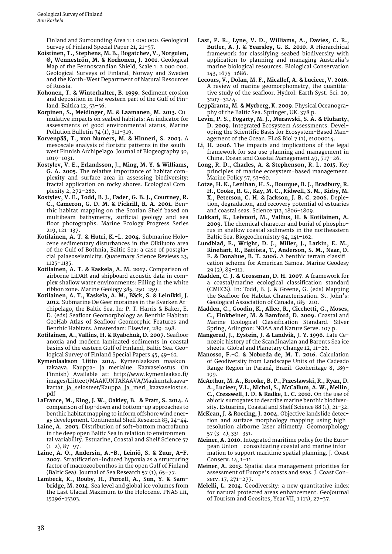Finland and Surrounding Area 1: 1 000 000. Geological Survey of Finland Special Paper 21, 21–57.

- **Koistinen, T., Stephens, M. B., Bogatchev, V., Norgulen, Ø, Wenneströn, M. & Korhonen, J. 2001.** Geological Map of the Fennoscandian Shield, Scale 1: 2 000 000. Geological Surveys of Finland, Norway and Sweden and the North-West Department of Natural Resources of Russia.
- **Kohonen, T. & Winterhalter, B. 1999.** Sediment erosion and deposition in the western part of the Gulf of Finland. Baltica 12, 53–56.
- **Korpinen, S., Meidinger, M. & Laamanen, M. 2013.** Cumulative impacts on seabed habitats: An indicator for assessments of good environmental status, Marine Pollution Bulletin 74 (1), 311–319.
- **Korvenpää, T., von Numers, M. & Hinneri, S. 2003.** A mesoscale analysis of floristic patterns in the southwest Finnish Archipelago. Journal of Biogeography 30, 1019–1031.
- **Kostylev, V. E., Erlandsson, J., Ming, M. Y. & Williams, G. A. 2005.** The relative importance of habitat complexity and surface area in assessing biodiversity: fractal application on rocky shores. Ecological Complexity 2, 272–286.
- **Kostylev, V. E., Todd, B. J., Fader, G. B. J., Courtney, R. C., Cameron, G. D. M. & Pickrill, R. A. 2001.** Benthic habitat mapping on the Scotian Shelf based on multibeam bathymetry, surficial geology and sea floor photographs. Marine Ecology Progress Series 219, 121–137.
- **Kotilainen, A. T. & Hutri, K.-L. 2004.** Submarine Holocene sedimentary disturbances in the Olkiluoto area of the Gulf of Bothnia, Baltic Sea: a case of postglacial palaeoseismicity. Quaternary Science Reviews 23, 1125–1135.
- **Kotilainen, A. T. & Kaskela, A. M. 2017.** Comparison of airborne LiDAR and shipboard acoustic data in complex shallow water environments: Filling in the white ribbon zone. Marine Geology 385, 250–259.
- **Kotilainen, A. T., Kaskela, A. M., Bäck, S. & Leinikki, J. 2012**. Submarine De Geer moraines in the Kvarken Archipelago, the Baltic Sea. In: P. T. Harris & Baker, E. D. (eds) Seafloor Geomorphology as Benthic Habitat: GeoHab Atlas of Seafloor Geomorphic Features and Benthic Habitats. Amsterdam: Elsevier, 289-298.
- **Kotilainen, A., Vallius, H. & Ryabchuk, D. 2007.** Seafloor anoxia and modern laminated sediments in coastal basins of the eastern Gulf of Finland, Baltic Sea. Geological Survey of Finland Special Papers 45, 49–62.
- **Kymenlaakson Liitto 2014.** Kymenlaakson maakuntakaava. Kauppa- ja merialue. Kaavaselostus. (in Finnish) Available at: [http://www.kymenlaakso.fi/](http://www.kymenlaakso.fi/images/Liitteet/MAAKUNTAKAAVA/Maakuntakaavakartat_ja_selosteet/Kauppa_ja_meri_kaavaselostus.pdf) [images/Liitteet/MAAKUNTAKAAVA/Maakuntakaava](http://www.kymenlaakso.fi/images/Liitteet/MAAKUNTAKAAVA/Maakuntakaavakartat_ja_selosteet/Kauppa_ja_meri_kaavaselostus.pdf)kartat\_ja\_selosteet/Kauppa\_ja\_meri\_kaavaselostus. [pdf](http://www.kymenlaakso.fi/images/Liitteet/MAAKUNTAKAAVA/Maakuntakaavakartat_ja_selosteet/Kauppa_ja_meri_kaavaselostus.pdf)
- **LaFrance, M., King, J. W., Oakley, B. & Pratt, S. 2014.** A comparison of top-down and bottom-up approaches to benthic habitat mapping to inform offshore wind energy development. Continental Shelf Research 83, 24–44.
- **Laine, A. 2003.** Distribution of soft–bottom macrofauna in the deep open Baltic Sea in relation to environmental variability. Estuarine, Coastal and Shelf Science 57  $(1-2), 87-97.$
- **Laine, A. O., Andersin, A.-B., Leiniö, S. & Zuur, A-F. 2007.** Stratification-induced hypoxia as a structuring factor of macrozoobenthos in the open Gulf of Finland (Baltic Sea). Journal of Sea Research 57 (1), 65–77.
- **Lambeck, K., Rouby, H., Purcell, A., Sun, Y. & Sambridge, M. 2014.** Sea level and global ice volumes from the Last Glacial Maximum to the Holocene. PNAS 111, 15296–15303.
- **Last, P. R., Lyne, V. D., Williams, A., Davies, C. R., Butler, A. J. & Yearsley, G. K. 2010.** A Hierarchical framework for classifying seabed biodiversity with application to planning and managing Australia's marine biological resources. Biological Conservation 143, 1675–1686.
- **Lecours, V., Dolan, M. F., Micallef, A. & Lucieer, V. 2016.** A review of marine geomorphometry, the quantitative study of the seafloor. Hydrol. Earth Syst. Sci. 20, 3207–3244.
- **Leppäranta, M. & Myrberg, K. 2009.** Physical Oceanography of the Baltic Sea. Springer, UK. 378 p.
- **Levin, P. S., Fogarty, M. J., Murawski, S. A. & Fluharty, D. 2009.** Integrated Ecosystem Assessments: Developing the Scientific Basis for Ecosystem-Based Management of the Ocean. PLoS Biol 7 (1), e1000014.
- **Li, H. 2006.** The impacts and implications of the legal framework for sea use planning and management in China. Ocean and Coastal Management 49, 717–26.
- **Long, R. D., Charles, A. & Stephenson, R. L. 2015**. Key principles of marine ecosystem-based management. Marine Policy 57, 53–60.
- **Lotze, H. K., Lenihan, H. S., Bourque, B. J., Bradbury, R. H., Cooke, R. G., Kay, M. C., Kidwell, S. M., Kirby, M. X., Peterson, C. H. & Jackson, J. B. C. 2006.** Depletion, degradation, and recovery potential of estuaries and coastal seas. Science 312, 1806–1809.
- **Lukkari, K., Leivuori, M., Vallius, H. & Kotilainen, A. 2009.** The chemical character and burial of phosphorus in shallow coastal sediments in the northeastern Baltic Sea. Biogeochemistry 94, 141–162.
- **Lundblad, E., Wright, D. J., Miller, J., Larkin, E. M., Rinehart, R., Battista, T., Anderson, S. M., Naar, D. F. & Donahue, B. T. 2006.** A benthic terrain classification scheme for American Samoa. Marine Geodesy 29 (2), 89–111.
- **Madden, C. J. & Grossman, D. H. 2007**. A framework for a coastal/marine ecological classification standard (CMECS). In: Todd, B. J. & Greene, G. (eds) Mapping the Seafloor for Habitat Characterisation. St. John's: Geological Association of Canada, 185–210.
- **Madden, C., Goodin, K., Allee, R., Cicchetti, G., Moses, C., Finkbeiner, M. & Bamford, D. 2009.** Coastal and Marine Ecological Classification Standard. Silver Spring, Arlington: NOAA and Nature Serve. 107 p.
- **Mangerud, J., Eystein, J. & Landvik, J. Y. 1996.** Late Cenozoic history of the Scandinavian and Barents Sea ice sheets. Global and Planetary Change 12, 11–26.
- **Manosso, F.-C. & Nobreda de, M. T. 2016.** Calculation of Geodiversity from Landscape Units of the Cadeado Range Region in Paraná, Brazil. Geoheritage 8, 189– 199.
- **McArthur, M. A., Brooke, B. P., Przeslawski, R., Ryan, D. A., Lucieer, V.L., Nichol, S., McCallum, A. W., Mellin, C., Cresswell, I. D. & Radke, L. C. 2010.** On the use of abiotic surrogates to describe marine benthic biodiversity. Estuarine, Coastal and Shelf Science 88 (1), 21–32.
- **McKean, J. & Roering, J. 2004.** Objective landslide detection and surface morphology mapping using highresolution airborne laser altimetry. Geomorphology 57 (3–4), 331–351.
- **Meiner, A. 2010.** Integrated maritime policy for the European Union—consolidating coastal and marine information to support maritime spatial planning. J. Coast Conserv. 14, 1–11.
- **Meiner, A. 2013.** Spatial data management priorities for assessment of Europe's coasts and seas. J. Coast Conserv. 17, 271–277.
- **Melelli, L. 2014.** Geodiversity: a new quantitative index for natural protected areas enhancement. GeoJournal of Tourism and Geosites, Year VII, 1 (13), 27–37.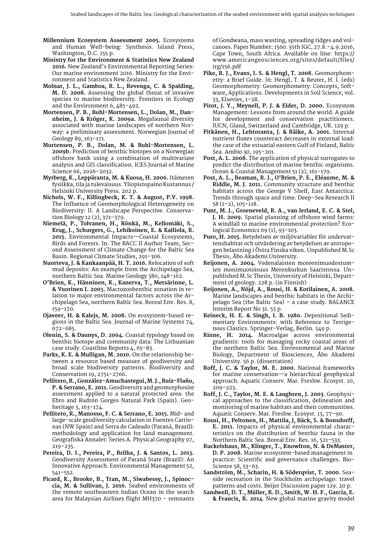- **Millennium Ecosystem Assessment 2005.** Ecosystems and Human Well-being: Synthesis. Island Press, Washington, D.C. 155 p.
- **Ministry for the Environment & Statistics New Zealand 2016.** New Zealand's Environmental Reporting Series: Our marine environment 2016. Ministry for the Environment and Statistics New Zealand.
- **Molnar, J. L., Gamboa, R. L., Revenga, C. & Spalding, M. D. 2008.** Assessing the global threat of invasive species to marine biodiversity. Frontiers in Ecology and the Environment 6, 485–492.
- **Mortensen, P. B., Buhl-Mortensen, L., Dolan, M., Dannheim, J. & Kröger, K. 2009a.** Megafaunal diversity associated with marine landscapes of northern Norway: a preliminary assessment. Norwegian Journal of Geology 89, 163–171.
- **Mortensen, P. B., Dolan, M. & Buhl-Mortensen, L. 2009b.** Prediction of benthic biotopes on a Norwegian offshore bank using a combination of multivariate analysis and GIS classification. ICES Journal of Marine Science 66, 2026–2032.
- **Myrberg, K., Leppäranta, M. & Kuosa, H. 2006.** Itämeren fysiikka, tila ja tulevaisuus. Yliopistopaino Kustannus / Helsinki University Press. 202 p.
- **Nichols, W. F., Killingbeck, K. T. & August, P.V. 1998.** The Influence of Geomorphological Heterogeneity on Biodiversity: II. A Landscape Perspective. Conservation Biology 12 (2), 371–379.
- **Niemelä, P., Tolvanen, H., Rönkä, M., Kellomäki, S., Krug, J., Schurgers, G., Lehikoinen, E. & Kalliola, R. 2015.** Environmental Impacts—Coastal Ecosystems, Birds and Forests. In: The BACC II Author Team, Second Assessment of Climate Change for the Baltic Sea Basin. Regional Climate Studies, 291–306.
- **Nuorteva, J. & Kankaanpää, H. T. 2016.** Relocation of soft mud deposits: An example from the Archipelago Sea, northern Baltic Sea. Marine Geology 380, 148–162.
- **O'Brien, K., Hänninen, K., Kanerva, T., Metsärinne, L. & Vuorinen I. 2003.** Macrozoobenthic zonation in relation to major environmental factors across the Archipelago Sea, northern Baltic Sea. Boreal Env. Res. 8, 159–170.
- **Ojaveer, H. & Kalejs, M. 2008.** On ecosystem-based regions in the Baltic Sea. Journal of Marine Systems 74, 672–685.
- **Olenin, S. & Daunys, D. 2004.** Coastal typology based on benthic biotope and community data: The Lithuanian case study. Coastline Reports 4, 65–83.
- **Parks, K. E. & Mulligan, M. 2010.** On the relationship between a resource based measure of geodiversity and broad scale biodiversity patterns. Biodiversity and Conservation 19, 2751–2766.
- **Pellitero, R., González-Amuchastegui, M. J., Ruiz-Flaño, P. & Serrano, E. 2011.** Geodiversity and geomorphosite assessment applied to a natural protected area: the Ebro and Rudrón Gorges Natural Park (Spain). Geoheritage 3, 163–174.
- **Pellitero, R., Manosso, F. C. & Serrano, E. 2015.** Mid- and large-scale geodiversity calculation in Fuentes Carrionas (NW Spain) and Serra do Cadeado (Paraná, Brazil): methodology and application for land management. Geografiska Annaler: Series A. Physical Geography 97, 219–235.
- **Pereira, D. I., Pereira, P., Brilha, J. & Santos, L. 2013.** Geodiversity Assessment of Paraná State (Brazil): An Innovative Approach. Environmental Management 52, 541–552.
- **Picard, K., Brooke, B., Tran, M., Siwabessy, J., Spinoccia, M. & Sullivan, J. 2016.** Seabed environments of the remote southeastern Indian Ocean in the search area for Malaysian Airlines flight MH370 – remnants

of Gondwana, mass wasting, spreading ridges and volcanoes. Paper Number: 1560. 35th IGC, 27.8.–4.9.2016, Cape Town, South Africa. Available on line: [https://](https://www.americangeosciences.org/sites/default/files/irg/156.pdf) [www.americangeosciences.org/sites/default/files/](https://www.americangeosciences.org/sites/default/files/irg/156.pdf) [irg/156.pdf](https://www.americangeosciences.org/sites/default/files/irg/156.pdf)

- **Pike, R. J., Evans, I. S. & Hengl, T. 2008.** Geomorphometry: a Brief Guide. In: Hengl, T. & Reuter, H. I. (eds) Geomorphometry: Geomorphometry: Concepts, Software, Applications. Developments in Soil Science, vol. 33, Elsevier, 1–28.
- **Pirot, J. Y., Meynell, P. J. & Elder, D. 2000.** Ecosystem Management: Lessons from around the world. A guide for development and conservation practitioners. IUCN, Gland, Switzerland and Cambridge, UK. 129 p.
- **Pitkänen, H., Lehtoranta, J. & Räike, A. 2001.** Internal nutrient fluxes counteract decreases in external load: the case of the estuarial eastern Gulf of Finland, Baltic Sea. Ambio 30, 195–201.
- **Post, A. L. 2008.** The application of physical surrogates to predict the distribution of marine benthic organisms. Ocean & Coastal Management 51 (2), 161–179.
- **Post, A. L., Beaman, R. J., O'Brien, P. E., Eléaume, M. & Riddle, M. J. 2011.** Community structure and benthic habitats across the George V Shelf, East Antarctica: Trends through space and time. Deep–Sea Research II 58 (1–2), 105–118.
- **Punt, M. J., Groeneveld, R. A., van Ierland, E. C. & Stel, J. H. 2009.** Spatial planning of offshore wind farms: A windfall to marine environmental protection? Ecological Economics 69 (1), 93–103.
- **Puro, H. 2015.** Betydelsen av miljövariabler för undervattenshabitat och utvärdering av betydelsen av antropogen belastning i Östra Finska viken. Unpublished M.Sc Thesis, Åbo Akademi University.
- **Reijonen, A. 2004.** Vedenalaisten moreenimuodostumien monimuotoisuus Merenkurkun Saaristossa. Unpublished M.Sc Thesis, University of Helsinki, Department of geology. 228 p. (in Finnish)
- **Reijonen, A., Nöjd, A., Rousi, H. & Kotilainen, A. 2008.** Marine landscapes and benthic habitats in the Archipelago Sea (the Baltic Sea) – a case study. BALANCE Interim Report No 31. 53 p.
- **Reineck, H. E. & Singh, I. B. 1980.** Depositional Sedimentary Environments: with Reference to Terrigenous Clastics. Springer-Verlag, Berlin. 549 p.
- **Rinne, H. 2014.** Macroalgae across environmental gradients: tools for managing rocky coastal areas of the northern Baltic Sea. Environmental and Marine Biology, Department of Biosciences, Åbo Akademi University. 56 p. (dissertation)
- **Roff, J. C. & Taylor, M. E. 2000.** National frameworks for marine conservation—a hierarchical geophysical approach. Aquatic Conserv. Mar. Freshw. Ecosyst. 10, 209–223.
- **Roff, J. C., Taylor, M. E. & Laughren, J. 2003**. Geophysical approaches to the classification, delineation and monitoring of marine habitats and their communities. Aquatic Conserv. Mar. Freshw. Ecosyst. 13, 77–90.
- **Rousi, H., Peltonen, H., Mattila, J, Bäck, S. & Bonsdorff, E. 2011.** Impacts of physical environmental characteristics on the distribution of benthic fauna in the Northern Baltic Sea. Boreal Env. Res. 16, 521–533.
- **Ruckelshaus, M., Klinger, T., Knowlton, N. & DeMaster, D. P. 2008.** Marine ecosystem-based management in practice: Scientific and governance challenges. Bio-Science 58, 53–63.
- **Sandström, M., Scharin, H. & Söderqvist, T. 2000.** Seaside recreation in the Stockholm archipelago: travel patterns and costs. Beijer Discussion paper 129. 20 p.
- **Sandwell, D. T., Müller, R. D., Smith, W. H. F., Garcia, E. & Francis, R. 2014**. New global marine gravity model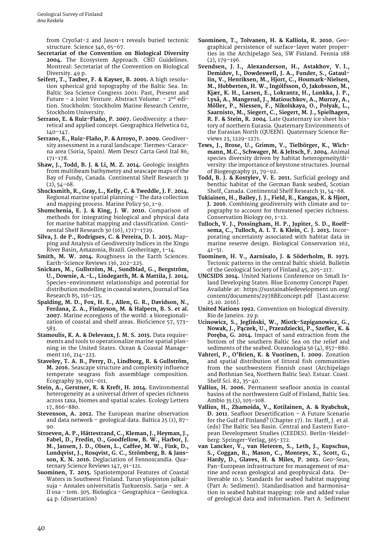from CryoSat-2 and Jason-1 reveals buried tectonic structure. Science 346, 65–67.

- **Secretariat of the Convention on Biological Diversity 2004.** The Ecosystem Approach. CBD Guidelines. Montreal: Secretariat of the Convention on Biological Diversity. 49 p.
- **Seifert, T., Tauber, F. & Kayser, B. 2001.** A high resolution spherical grid topography of the Baltic Sea. In: Baltic Sea Science Congress 2001: Past, Present and Future - a Joint Venture. Abstract Volume. - 2<sup>nd</sup> edition. Stockholm: Stockholm Marine Research Centre, Stockholm University.
- **Serrano, E. & Ruiz-Flaño, P. 2007.** Geodiversity: a theoretical and applied concept. Geographica Helvetica 62, 140–147.
- **Serrano, E., Ruiz-Flaño, P. & Arroyo, P. 2009.** Geodiversity assessment in a rural landscape: Tiermes-Caracena area (Soria, Spain). Mem Descr Carta Geol Ital 86, 171–178.
- **Shaw, J., Todd, B. J. & Li, M. Z. 2014.** Geologic insights from multibeam bathymetry and seascape maps of the Bay of Fundy, Canada. Continental Shelf Research 31  $(2), 54-68.$
- **Shucksmith, R., Gray, L., Kelly, C. & Tweddle, J. F. 2014.** Regional marine spatial planning – The data collection and mapping process. Marine Policy 50, 1–9.
- **Shumchenia, E. J. & King, J. W. 2010.** Comparison of methods for integrating biological and physical data for marine habitat mapping and classification. Continental Shelf Research 30 (16), 1717–1729.
- **Silva, J. de P., Rodrigues, C. & Pereira, D. I. 2015.** Mapping and Analysis of Geodiversity Indices in the Xingu River Basin, Amazonia, Brazil. Geoheritage, 1–14.
- **Smith, M. W. 2014.** Roughness in the Earth Sciences. Earth-Science Reviews 136, 202–225.
- **Snickars, M., Gullström, M., Sundblad, G., Bergström, U., Downie, A.-L., Lindegarth, M. & Mattila, J. 2014.** Species–environment relationships and potential for distribution modelling in coastal waters, Journal of Sea Research 85, 116–125.
- **Spalding, M. D., Fox, H. E., Allen, G. R., Davidson, N., Ferdana, Z. A., Finlayson, M. & Halpern, B. S. et al. 2007.** Marine ecoregions of the world: a bioregionalization of coastal and shelf areas. BioScience 57, 573– 583.
- **Stamoulis, K. A. & Delevaux, J. M. S. 2015.** Data requirements and tools to operationalize marine spatial planning in the United States. Ocean & Coastal Management 116, 214–223.
- **Staveley, T. A. B., Perry, D., Lindborg, R. & Gullström, M. 2016.** Seascape structure and complexity influence temperate seagrass fish assemblage composition. Ecography 39, 001–011.
- **Stein, A., Gerstner, K. & Kreft, H. 2014.** Environmental heterogeneity as a universal driver of species richness across taxa, biomes and spatial scales. Ecology Letters 17, 866–880.
- **Stevenson, A. 2012.** The European marine observation and data network – geological data. Baltica 25 (1), 87– 90.
- **Stroeven, A. P., Hättestrand, C., Kleman, J., Heyman, J., Fabel, D., Fredin, O., Goodfellow, B. W., Harbor, J. M., Jansen, J. D., Olsen, L., Caffee, M. W., Fink, D., Lundqvist, J., Rosqvist, G. C., Strömberg, B. & Jansson, K. N. 2016.** Deglaciation of Fennoscandia. Quaternary Science Reviews 147, 91–121.
- **Suominen, T. 2015.** Spatiotemporal Features of Coastal Waters in Southwest Finland. Turun yliopiston julkaisuja - Annales universitatis Turkuensis. Sarja - ser. A II osa - tom. 305. Biologica - Geographica – Geologica. 44 p. (dissertation)
- **Suominen, T., Tolvanen, H. & Kalliola, R. 2010.** Geographical persistence of surface-layer water properties in the Archipelago Sea, SW Finland. Fennia 188 (2), 179–196.
- **Svendsen, J. I., Alexanderson, H., Astakhov, V. I., Demidov, I., Dowdeswell, J. A., Funder, S., Gataullin, V., Henriksen, M., Hjort, C., Houmark-Nielsen, M., Hubberten, H. W., Ingólfsson, Ó, Jakobsson, M., Kjær, K. H., Larsen, E., Lokrantz, H., Lunkka, J. P., Lyså, A., Mangerud, J., Matiouchkov, A., Murray, A., Möller, P., Niessen, F., Nikolskaya, O., Polyak, L., Saarnisto, M., Siegert, C., Siegert, M. J., Spielhagen, R. F. & Stein, R. 2004**. Late Quaternary ice sheet history of northern Eurasia. Quaternary Environments of the Eurasian North (QUEEN). Quaternary Science Reviews 23, 1229–1271.
- **Tews, J., Brose, U., Grimm, V., Tielbörger, K., Wichmann, M.C., Schwager, M. & Jeltsch, F. 2004.** Animal species diversity driven by habitat heterogeneity/diversity: the importance of keystone structures. Journal of Biogeography 31, 79–92.
- **Todd, B. J. & Kostylev, V. E. 2011.** Surficial geology and benthic habitat of the German Bank seabed, Scotian Shelf, Canada. Continental Shelf Research 31, 54–68.
- **Tukiainen, H., Bailey, J. J., Field, R., Kangas, K. & Hjort, J. 2016**. Combining geodiversity with climate and topography to account for threatened species richness. Conservation Biology 00, 1–12.
- **Tulloch, V. J., Possingham, H. P., Jupiter, S. D., Roelfsema, C., Tulloch, A. I. T. & Klein, C. J. 2013.** Incorporating uncertainty associated with habitat data in marine reserve design. Biological Conservation 162, 41–51.
- **Tuominen, H. V., Aarnisalo, J. & Söderholm, B. 1973.** Tectonic patterns in the central Baltic shield. Bulletin of the Geological Society of Finland 45, 205–217.
- **UNCSIDS 2014.** United Nations Conference on Small Island Developing States. Blue Economy Concept Paper. Available at: [https://sustainabledevelopment.un.org/](https://sustainabledevelopment.un.org/content/documents/2978BEconcept.pdf) [content/documents/2978BEconcept.pdf](https://sustainabledevelopment.un.org/content/documents/2978BEconcept.pdf) [Last access: 25.10. 2016].
- **United Nations 1992.** Convention on biological diversity. Rio de Janeiro. 29 p.
- Ucinowicz, S., Jegliński, W., Miotk-Szpiganowicz, G., **Nowak, J., Pączek, U., Przezdziecki, P., Szefler, K. & Poręba, G. 2014.** Impact of sand extraction from the bottom of the southern Baltic Sea on the relief and sediments of the seabed. Oceanologia 56 (4), 857–880.
- **Vahteri, P., O'Brien, K. & Vuorinen, I. 2009.** Zonation and spatial distribution of littoral fish communities from the southwestern Finnish coast (Archipelago and Bothnian Sea, Northern Baltic Sea). Estuar. Coast. Shelf Sci. 82, 35–40.
- **Vallius, H. 2006.** Permanent seafloor anoxia in coastal basins of the northwestern Gulf of Finland, Baltic Sea. Ambio 35 (3), 105–108.
- **Vallius, H., Zhamoida, V., Kotilainen, A. & Ryabchuk, D. 2011**. Seafloor Desertification – A Future Scenario for the Gulf of Finland? (Chapter 17). In: Harff, J. et al. (eds) The Baltic Sea Basin. Central and Eastern European Development Studies (CEEDES). Berlin-Heidelberg: Springer-Verlag, 365-372.
- **van Lancker, V., van Heteren, S., Leth, J., Kupschus, S., Coggan, R., Mason, C., Monteys, X., Scott, G., Hardy, D., Glaves, H. & Miles, P. 2013.** Geo-Seas, Pan-European infrastructure for management of marine and ocean geological and geophysical data. Deliverable 10.5: Standards for seabed habitat mapping (Part A: Sediment). Standardisation and harmonisation in seabed habitat mapping: role and added value of geological data and information. Part A: Sediment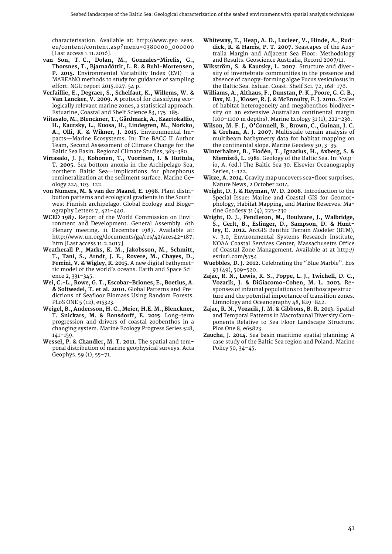characterisation. Available at: [http://www.geo-seas.](http://www.geo-seas.eu/content/content.asp?menu=0380000_000000) [eu/content/content.asp?menu=0380000\\_000000](http://www.geo-seas.eu/content/content.asp?menu=0380000_000000)  [Last access 1.11.2016].

- **van Son, T. C., Dolan, M., Gonzales-Mirelis, G., Thorsnes, T., Bjarnadóttir, L. R. & Buhl-Mortensen, P. 2015.** Environmental Variability Index (EVI) – a MAREANO methods to study for guidance of sampling effort. NGU report 2015.027. 54 p.
- **Verfaillie, E., Degraer, S., Schelfaut, K., Willems, W. & Van Lancker, V. 2009.** A protocol for classifying ecologically relevant marine zones, a statistical approach. Estuarine, Coastal and Shelf Science 83, 175–185.
- **Viitasalo, M., Blenckner, T., Gårdmark, A., Kaartokallio, H., Kautsky, L., Kuosa, H., Lindegren, M., Norkko, A., Olli, K. & Wikner, J. 2015.** Environmental Impacts—Marine Ecosystems. In: The BACC II Author Team, Second Assessment of Climate Change for the Baltic Sea Basin. Regional Climate Studies, 363–380.
- **Virtasalo, J. J., Kohonen, T., Vuorinen, I. & Huttula, T. 2005.** Sea bottom anoxia in the Archipelago Sea, northern Baltic Sea—implications for phosphorus remineralization at the sediment surface. Marine Geology 224, 103–122.
- **von Numers, M. & van der Maarel, E. 1998.** Plant distribution patterns and ecological gradients in the Southwest Finnish archipelago. Global Ecology and Biogeography Letters 7, 421–440.
- **WCED 1987.** Report of the World Commission on Environment and Development. General Assembly. 6th Plenary meeting. 11 December 1987. Available at: [http://www.un.org/documents/ga/res/42/ares42-187.](http://www.un.org/documents/ga/res/42/ares42-187.htm) [htm](http://www.un.org/documents/ga/res/42/ares42-187.htm) [Last access 11.2.2017].
- **Weatherall P., Marks, K. M., Jakobsson, M., Schmitt, T., Tani, S., Arndt, J. E., Rovere, M., Chayes, D., Ferrini, V. & Wigley, R. 2015.** A new digital bathymetric model of the world's oceans. Earth and Space Science 2, 331–345.
- **Wei, C.-L., Rowe, G. T., Escobar-Briones, E., Boetius, A. & Soltwedel, T. et al. 2010.** Global Patterns and Predictions of Seafloor Biomass Using Random Forests. PLoS ONE 5 (12), e15323.
- **Weigel, B., Andersson, H. C., Meier, H.E. M., Blenckner, T. Snickars, M. & Bonsdorff, E. 2015**. Long-term progression and drivers of coastal zoobenthos in a changing system. Marine Ecology Progress Series 528, 141–159.
- **Wessel, P. & Chandler, M. T. 2011.** The spatial and temporal distribution of marine geophysical surveys. Acta Geophys. 59 (1), 55–71.
- **Whiteway, T., Heap, A. D., Lucieer, V., Hinde, A., Ruddick, R. & Harris, P. T. 2007.** Seascapes of the Australia Margin and Adjacent Sea Floor: Methodology and Results. Geoscience Australia, Record 2007/11.
- **Wikström, S. & Kautsky, L. 2007**. Structure and diversity of invertebrate communities in the presence and absence of canopy-forming algae Fucus vesiculosus in the Baltic Sea. Estuar. Coast. Shelf Sci. 72, 168–176.
- **Williams, A., Althaus, F., Dunstan, P. K., Poore, G. C. B., Bax, N. J., Kloser, R. J. & McEnnulty, F. J. 2010.** Scales of habitat heterogeneity and megabenthos biodiversity on an extensive Australian continental margin (100–1100 m depths). Marine Ecology 31 (1), 222–236.
- **Wilson, M. F. J., O'Connell, B., Brown, C., Guinan, J. C. & Grehan, A. J. 2007.** Multiscale terrain analysis of multibeam bathymetry data for habitat mapping on the continental slope. Marine Geodesy 30, 3–35.
- **Winterhalter, B., Flodén, T., Ignatius, H., Axberg, S. & Niemistö, L. 1981**. Geology of the Baltic Sea. In: Voipio, A. (ed.) The Baltic Sea 30. Elsevier Oceanography Series, 1-122.
- **Witze, A. 2014.** Gravity map uncovers sea-floor surprises. Nature News, 2 October 2014.
- **Wright, D. J. & Heyman, W. D. 2008.** Introduction to the Special Issue: Marine and Coastal GIS for Geomorphology, Habitat Mapping, and Marine Reserves. Marine Geodesy 31 (4), 223–230
- **Wright, D. J., Pendleton, M., Boulware, J., Walbridge, S., Gerlt, B., Eslinger, D., Sampson, D. & Huntley, E. 2012.** ArcGIS Benthic Terrain Modeler (BTM), v. 3.0, Environmental Systems Research Institute, NOAA Coastal Services Center, Massachusetts Office of Coastal Zone Management. Available at at [http://](http://esriurl.com/5754) [esriurl.com/5754](http://esriurl.com/5754)
- **Wuebbles, D. J. 2012.** Celebrating the "Blue Marble". Eos 93 (49), 509–520.
- **Zajac, R. N., Lewis, R. S., Poppe, L. J., Twichell, D. C., Vozarik, J. & DiGiacomo-Cohen, M. L. 2003.** Responses of infaunal populations to benthoscape structure and the potential importance of transition zones. Limnology and Oceanography 48, 829–842.
- **Zajac, R. N., Vozarik, J. M. & Gibbons, B. R. 2013.** Spatial and Temporal Patterns in Macrofaunal Diversity Components Relative to Sea Floor Landscape Structure. Plos One 8, e65823.
- **Zaucha, J. 2014.** Sea basin maritime spatial planning: A case study of the Baltic Sea region and Poland. Marine Policy 50, 34–45.